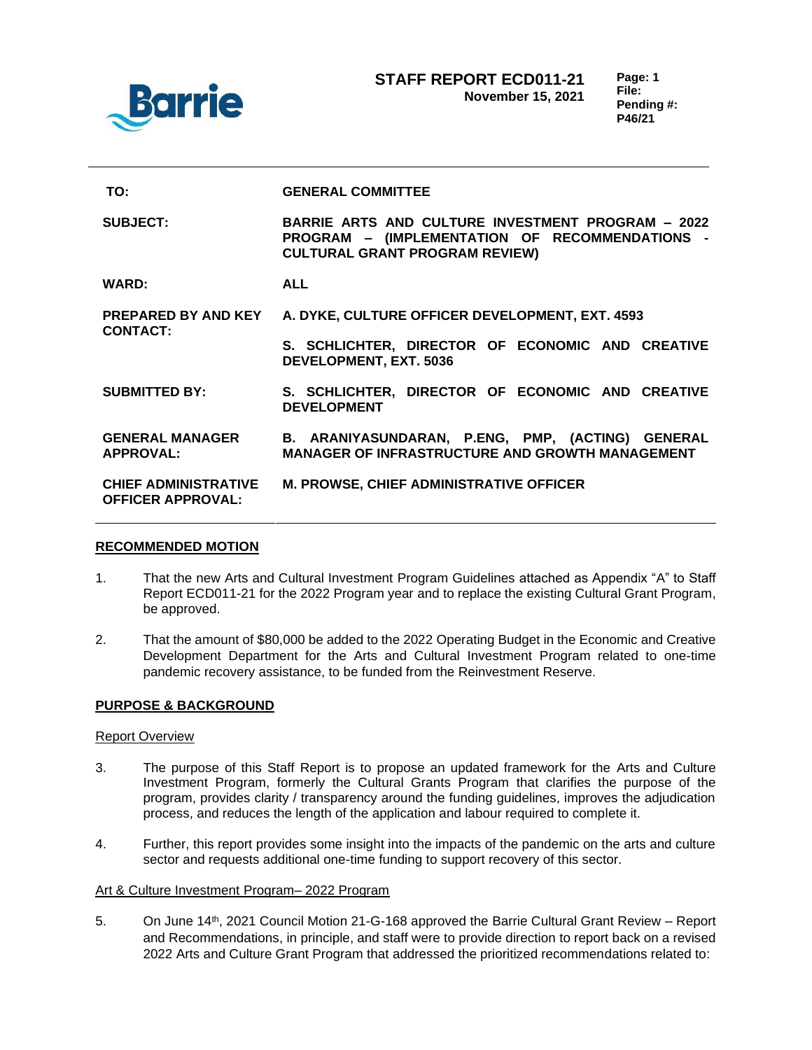

| TO:                                                     | <b>GENERAL COMMITTEE</b>                                                                                                                            |
|---------------------------------------------------------|-----------------------------------------------------------------------------------------------------------------------------------------------------|
| <b>SUBJECT:</b>                                         | <b>BARRIE ARTS AND CULTURE INVESTMENT PROGRAM - 2022</b><br>PROGRAM - (IMPLEMENTATION OF RECOMMENDATIONS -<br><b>CULTURAL GRANT PROGRAM REVIEW)</b> |
| <b>WARD:</b>                                            | <b>ALL</b>                                                                                                                                          |
| <b>PREPARED BY AND KEY</b><br><b>CONTACT:</b>           | A. DYKE, CULTURE OFFICER DEVELOPMENT, EXT. 4593                                                                                                     |
|                                                         | S. SCHLICHTER, DIRECTOR OF ECONOMIC AND CREATIVE<br><b>DEVELOPMENT, EXT. 5036</b>                                                                   |
| <b>SUBMITTED BY:</b>                                    | S. SCHLICHTER, DIRECTOR OF ECONOMIC AND CREATIVE<br><b>DEVELOPMENT</b>                                                                              |
| <b>GENERAL MANAGER</b><br><b>APPROVAL:</b>              | B. ARANIYASUNDARAN, P.ENG, PMP, (ACTING) GENERAL<br><b>MANAGER OF INFRASTRUCTURE AND GROWTH MANAGEMENT</b>                                          |
| <b>CHIEF ADMINISTRATIVE</b><br><b>OFFICER APPROVAL:</b> | <b>M. PROWSE, CHIEF ADMINISTRATIVE OFFICER</b>                                                                                                      |

## **RECOMMENDED MOTION**

- 1. That the new Arts and Cultural Investment Program Guidelines attached as Appendix "A" to Staff Report ECD011-21 for the 2022 Program year and to replace the existing Cultural Grant Program, be approved.
- 2. That the amount of \$80,000 be added to the 2022 Operating Budget in the Economic and Creative Development Department for the Arts and Cultural Investment Program related to one-time pandemic recovery assistance, to be funded from the Reinvestment Reserve.

## **PURPOSE & BACKGROUND**

#### Report Overview

- 3. The purpose of this Staff Report is to propose an updated framework for the Arts and Culture Investment Program, formerly the Cultural Grants Program that clarifies the purpose of the program, provides clarity / transparency around the funding guidelines, improves the adjudication process, and reduces the length of the application and labour required to complete it.
- 4. Further, this report provides some insight into the impacts of the pandemic on the arts and culture sector and requests additional one-time funding to support recovery of this sector.

## Art & Culture Investment Program– 2022 Program

5. On June 14th, 2021 Council Motion 21-G-168 approved the Barrie Cultural Grant Review – Report and Recommendations, in principle, and staff were to provide direction to report back on a revised 2022 Arts and Culture Grant Program that addressed the prioritized recommendations related to: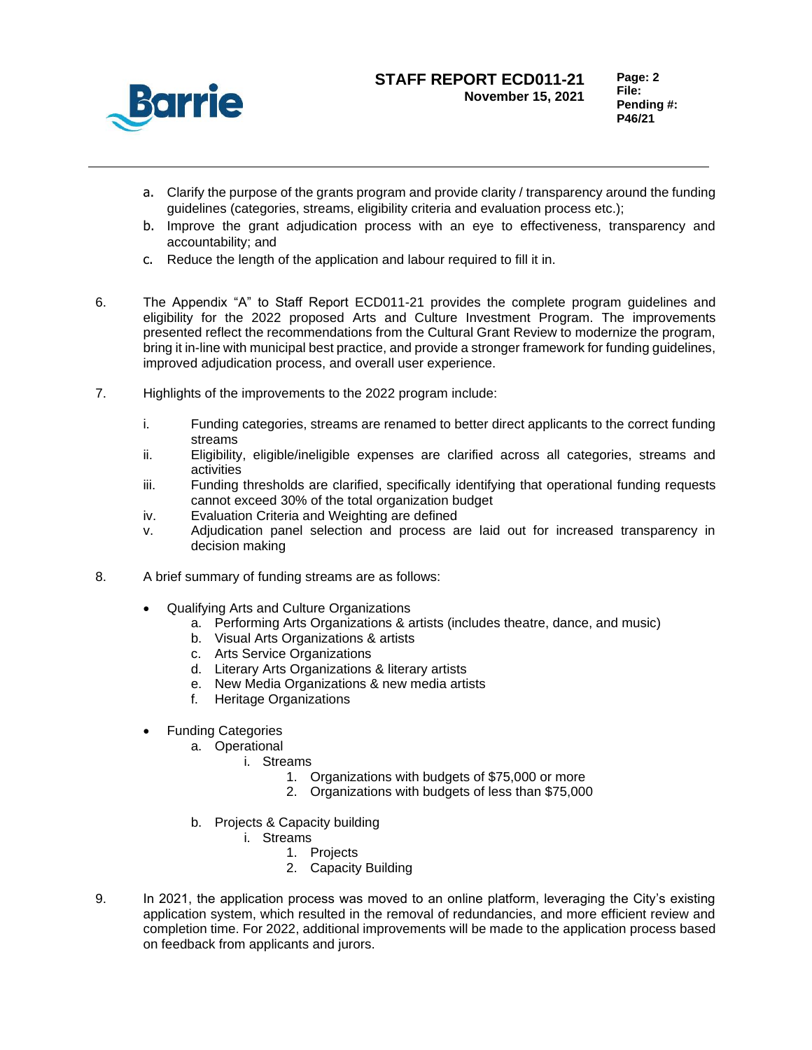

- a. Clarify the purpose of the grants program and provide clarity / transparency around the funding guidelines (categories, streams, eligibility criteria and evaluation process etc.);
- b. Improve the grant adjudication process with an eye to effectiveness, transparency and accountability; and
- c. Reduce the length of the application and labour required to fill it in.
- 6. The Appendix "A" to Staff Report ECD011-21 provides the complete program guidelines and eligibility for the 2022 proposed Arts and Culture Investment Program. The improvements presented reflect the recommendations from the Cultural Grant Review to modernize the program, bring it in-line with municipal best practice, and provide a stronger framework for funding guidelines, improved adjudication process, and overall user experience.
- 7. Highlights of the improvements to the 2022 program include:
	- i. Funding categories, streams are renamed to better direct applicants to the correct funding streams
	- ii. Eligibility, eligible/ineligible expenses are clarified across all categories, streams and activities
	- iii. Funding thresholds are clarified, specifically identifying that operational funding requests cannot exceed 30% of the total organization budget
	- iv. Evaluation Criteria and Weighting are defined
	- v. Adjudication panel selection and process are laid out for increased transparency in decision making
- 8. A brief summary of funding streams are as follows:
	- Qualifying Arts and Culture Organizations
		- a. Performing Arts Organizations & artists (includes theatre, dance, and music)
			- b. Visual Arts Organizations & artists
			- c. Arts Service Organizations
			- d. Literary Arts Organizations & literary artists
			- e. New Media Organizations & new media artists
			- f. Heritage Organizations
	- Funding Categories
		- a. Operational
			- i. Streams
				- 1. Organizations with budgets of \$75,000 or more
				- 2. Organizations with budgets of less than \$75,000
		- b. Projects & Capacity building
			- i. Streams
				- 1. Projects
				- 2. Capacity Building
- 9. In 2021, the application process was moved to an online platform, leveraging the City's existing application system, which resulted in the removal of redundancies, and more efficient review and completion time. For 2022, additional improvements will be made to the application process based on feedback from applicants and jurors.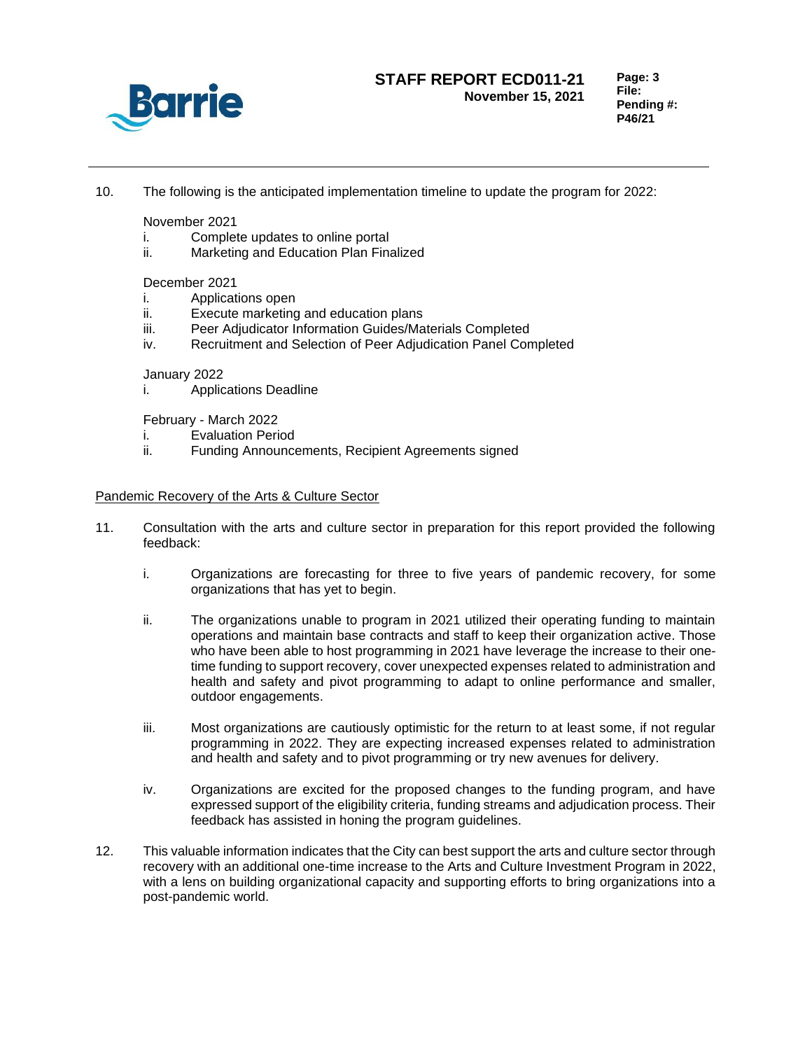

**Page: 3 File: Pending #: P46/21**

10. The following is the anticipated implementation timeline to update the program for 2022:

November 2021

- i. Complete updates to online portal
- ii. Marketing and Education Plan Finalized

December 2021

- i. Applications open
- ii. Execute marketing and education plans
- iii. Peer Adjudicator Information Guides/Materials Completed
- iv. Recruitment and Selection of Peer Adjudication Panel Completed

# January 2022

i. Applications Deadline

February - March 2022

- i. Evaluation Period
- ii. Funding Announcements, Recipient Agreements signed

### Pandemic Recovery of the Arts & Culture Sector

- 11. Consultation with the arts and culture sector in preparation for this report provided the following feedback:
	- i. Organizations are forecasting for three to five years of pandemic recovery, for some organizations that has yet to begin.
	- ii. The organizations unable to program in 2021 utilized their operating funding to maintain operations and maintain base contracts and staff to keep their organization active. Those who have been able to host programming in 2021 have leverage the increase to their onetime funding to support recovery, cover unexpected expenses related to administration and health and safety and pivot programming to adapt to online performance and smaller, outdoor engagements.
	- iii. Most organizations are cautiously optimistic for the return to at least some, if not regular programming in 2022. They are expecting increased expenses related to administration and health and safety and to pivot programming or try new avenues for delivery.
	- iv. Organizations are excited for the proposed changes to the funding program, and have expressed support of the eligibility criteria, funding streams and adjudication process. Their feedback has assisted in honing the program guidelines.
- 12. This valuable information indicates that the City can best support the arts and culture sector through recovery with an additional one-time increase to the Arts and Culture Investment Program in 2022, with a lens on building organizational capacity and supporting efforts to bring organizations into a post-pandemic world.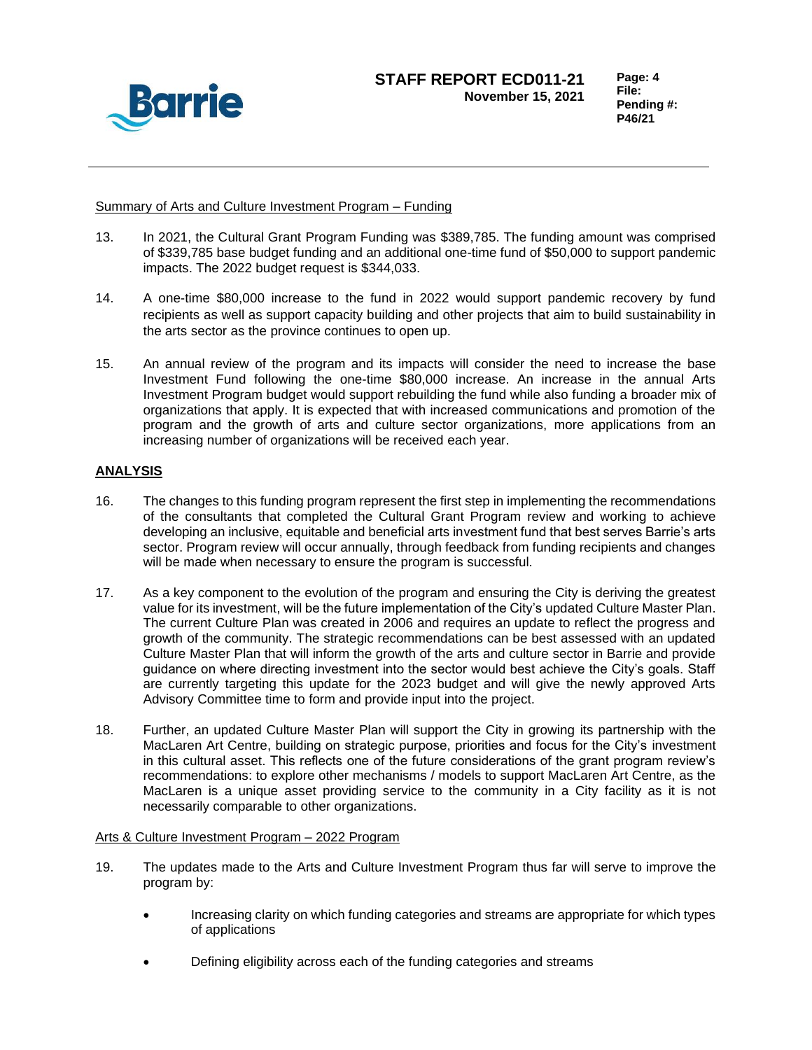

**Page: 4 File: Pending #: P46/21**

## Summary of Arts and Culture Investment Program – Funding

- 13. In 2021, the Cultural Grant Program Funding was \$389,785. The funding amount was comprised of \$339,785 base budget funding and an additional one-time fund of \$50,000 to support pandemic impacts. The 2022 budget request is \$344,033.
- 14. A one-time \$80,000 increase to the fund in 2022 would support pandemic recovery by fund recipients as well as support capacity building and other projects that aim to build sustainability in the arts sector as the province continues to open up.
- 15. An annual review of the program and its impacts will consider the need to increase the base Investment Fund following the one-time \$80,000 increase. An increase in the annual Arts Investment Program budget would support rebuilding the fund while also funding a broader mix of organizations that apply. It is expected that with increased communications and promotion of the program and the growth of arts and culture sector organizations, more applications from an increasing number of organizations will be received each year.

# **ANALYSIS**

- 16. The changes to this funding program represent the first step in implementing the recommendations of the consultants that completed the Cultural Grant Program review and working to achieve developing an inclusive, equitable and beneficial arts investment fund that best serves Barrie's arts sector. Program review will occur annually, through feedback from funding recipients and changes will be made when necessary to ensure the program is successful.
- 17. As a key component to the evolution of the program and ensuring the City is deriving the greatest value for its investment, will be the future implementation of the City's updated Culture Master Plan. The current Culture Plan was created in 2006 and requires an update to reflect the progress and growth of the community. The strategic recommendations can be best assessed with an updated Culture Master Plan that will inform the growth of the arts and culture sector in Barrie and provide guidance on where directing investment into the sector would best achieve the City's goals. Staff are currently targeting this update for the 2023 budget and will give the newly approved Arts Advisory Committee time to form and provide input into the project.
- 18. Further, an updated Culture Master Plan will support the City in growing its partnership with the MacLaren Art Centre, building on strategic purpose, priorities and focus for the City's investment in this cultural asset. This reflects one of the future considerations of the grant program review's recommendations: to explore other mechanisms / models to support MacLaren Art Centre, as the MacLaren is a unique asset providing service to the community in a City facility as it is not necessarily comparable to other organizations.

## Arts & Culture Investment Program – 2022 Program

- 19. The updates made to the Arts and Culture Investment Program thus far will serve to improve the program by:
	- Increasing clarity on which funding categories and streams are appropriate for which types of applications
	- Defining eligibility across each of the funding categories and streams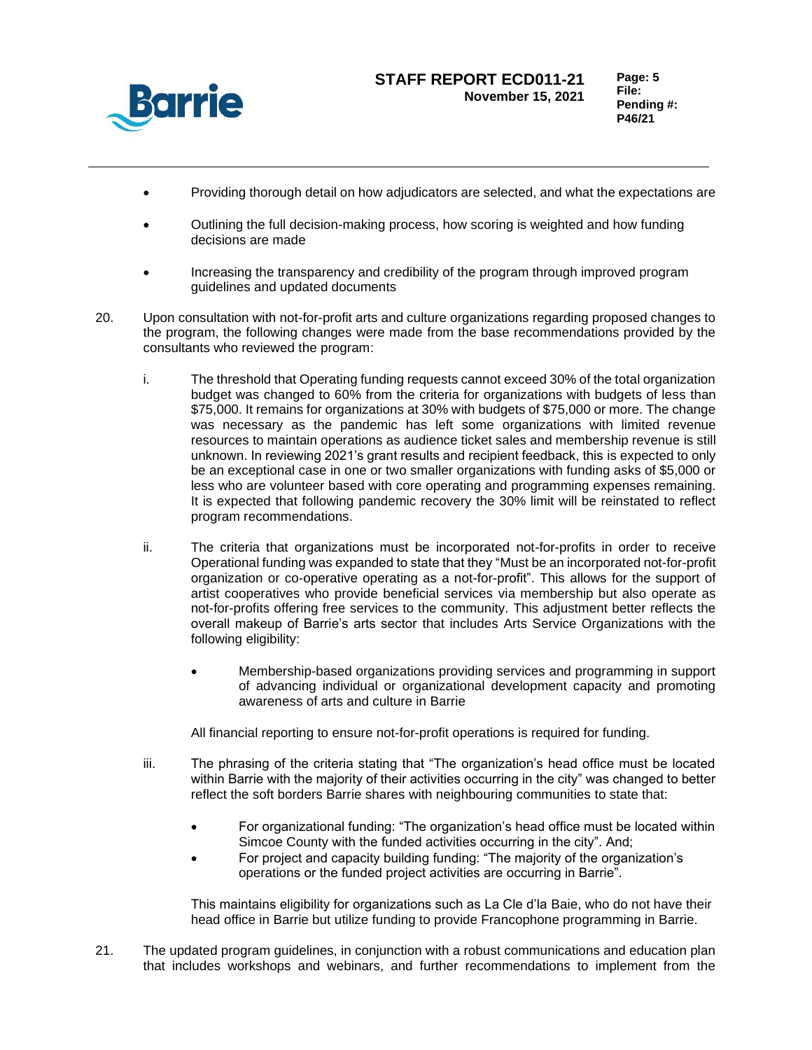

- Providing thorough detail on how adjudicators are selected, and what the expectations are
- Outlining the full decision-making process, how scoring is weighted and how funding decisions are made
- Increasing the transparency and credibility of the program through improved program guidelines and updated documents
- 20. Upon consultation with not-for-profit arts and culture organizations regarding proposed changes to the program, the following changes were made from the base recommendations provided by the consultants who reviewed the program:
	- i. The threshold that Operating funding requests cannot exceed 30% of the total organization budget was changed to 60% from the criteria for organizations with budgets of less than \$75,000. It remains for organizations at 30% with budgets of \$75,000 or more. The change was necessary as the pandemic has left some organizations with limited revenue resources to maintain operations as audience ticket sales and membership revenue is still unknown. In reviewing 2021's grant results and recipient feedback, this is expected to only be an exceptional case in one or two smaller organizations with funding asks of \$5,000 or less who are volunteer based with core operating and programming expenses remaining. It is expected that following pandemic recovery the 30% limit will be reinstated to reflect program recommendations.
	- ii. The criteria that organizations must be incorporated not-for-profits in order to receive Operational funding was expanded to state that they "Must be an incorporated not-for-profit organization or co-operative operating as a not-for-profit". This allows for the support of artist cooperatives who provide beneficial services via membership but also operate as not-for-profits offering free services to the community. This adjustment better reflects the overall makeup of Barrie's arts sector that includes Arts Service Organizations with the following eligibility:
		- Membership-based organizations providing services and programming in support of advancing individual or organizational development capacity and promoting awareness of arts and culture in Barrie

All financial reporting to ensure not-for-profit operations is required for funding.

- iii. The phrasing of the criteria stating that "The organization's head office must be located within Barrie with the majority of their activities occurring in the city" was changed to better reflect the soft borders Barrie shares with neighbouring communities to state that:
	- For organizational funding: "The organization's head office must be located within Simcoe County with the funded activities occurring in the city". And;
	- For project and capacity building funding: "The majority of the organization's operations or the funded project activities are occurring in Barrie".

This maintains eligibility for organizations such as La Cle d'la Baie, who do not have their head office in Barrie but utilize funding to provide Francophone programming in Barrie.

21. The updated program guidelines, in conjunction with a robust communications and education plan that includes workshops and webinars, and further recommendations to implement from the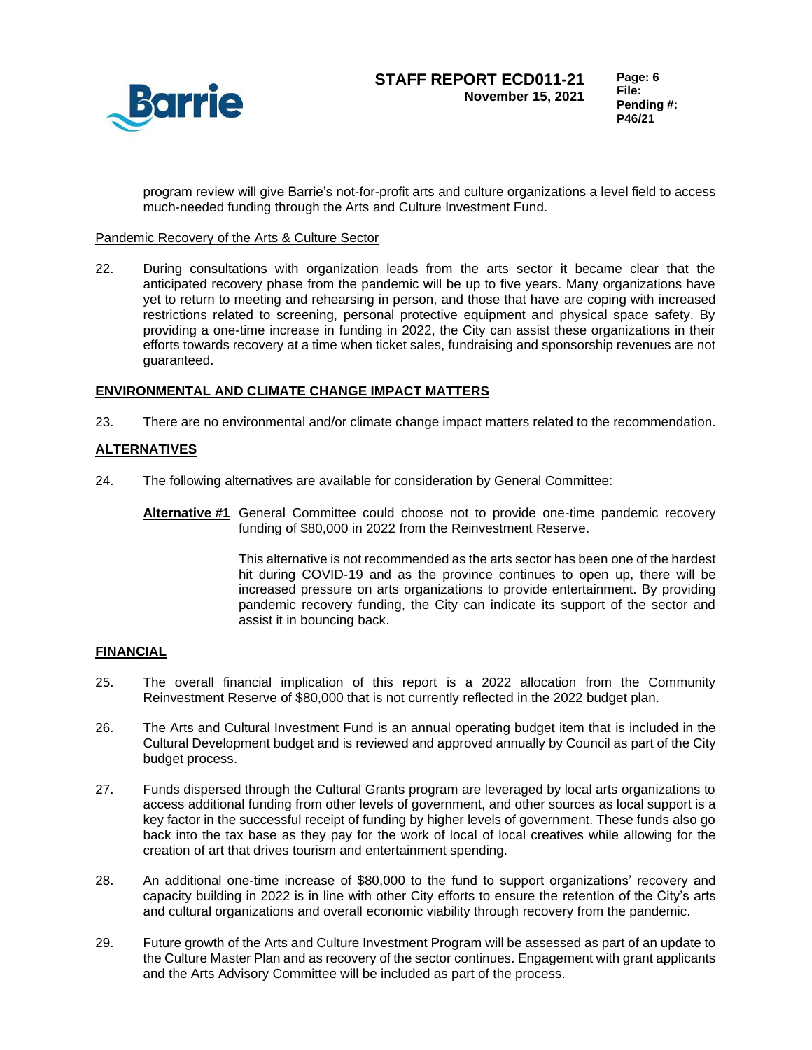

program review will give Barrie's not-for-profit arts and culture organizations a level field to access much-needed funding through the Arts and Culture Investment Fund.

# Pandemic Recovery of the Arts & Culture Sector

22. During consultations with organization leads from the arts sector it became clear that the anticipated recovery phase from the pandemic will be up to five years. Many organizations have yet to return to meeting and rehearsing in person, and those that have are coping with increased restrictions related to screening, personal protective equipment and physical space safety. By providing a one-time increase in funding in 2022, the City can assist these organizations in their efforts towards recovery at a time when ticket sales, fundraising and sponsorship revenues are not guaranteed.

# **ENVIRONMENTAL AND CLIMATE CHANGE IMPACT MATTERS**

23. There are no environmental and/or climate change impact matters related to the recommendation.

# **ALTERNATIVES**

- 24. The following alternatives are available for consideration by General Committee:
	- **Alternative #1** General Committee could choose not to provide one-time pandemic recovery funding of \$80,000 in 2022 from the Reinvestment Reserve.

This alternative is not recommended as the arts sector has been one of the hardest hit during COVID-19 and as the province continues to open up, there will be increased pressure on arts organizations to provide entertainment. By providing pandemic recovery funding, the City can indicate its support of the sector and assist it in bouncing back.

## **FINANCIAL**

- 25. The overall financial implication of this report is a 2022 allocation from the Community Reinvestment Reserve of \$80,000 that is not currently reflected in the 2022 budget plan.
- 26. The Arts and Cultural Investment Fund is an annual operating budget item that is included in the Cultural Development budget and is reviewed and approved annually by Council as part of the City budget process.
- 27. Funds dispersed through the Cultural Grants program are leveraged by local arts organizations to access additional funding from other levels of government, and other sources as local support is a key factor in the successful receipt of funding by higher levels of government. These funds also go back into the tax base as they pay for the work of local of local creatives while allowing for the creation of art that drives tourism and entertainment spending.
- 28. An additional one-time increase of \$80,000 to the fund to support organizations' recovery and capacity building in 2022 is in line with other City efforts to ensure the retention of the City's arts and cultural organizations and overall economic viability through recovery from the pandemic.
- 29. Future growth of the Arts and Culture Investment Program will be assessed as part of an update to the Culture Master Plan and as recovery of the sector continues. Engagement with grant applicants and the Arts Advisory Committee will be included as part of the process.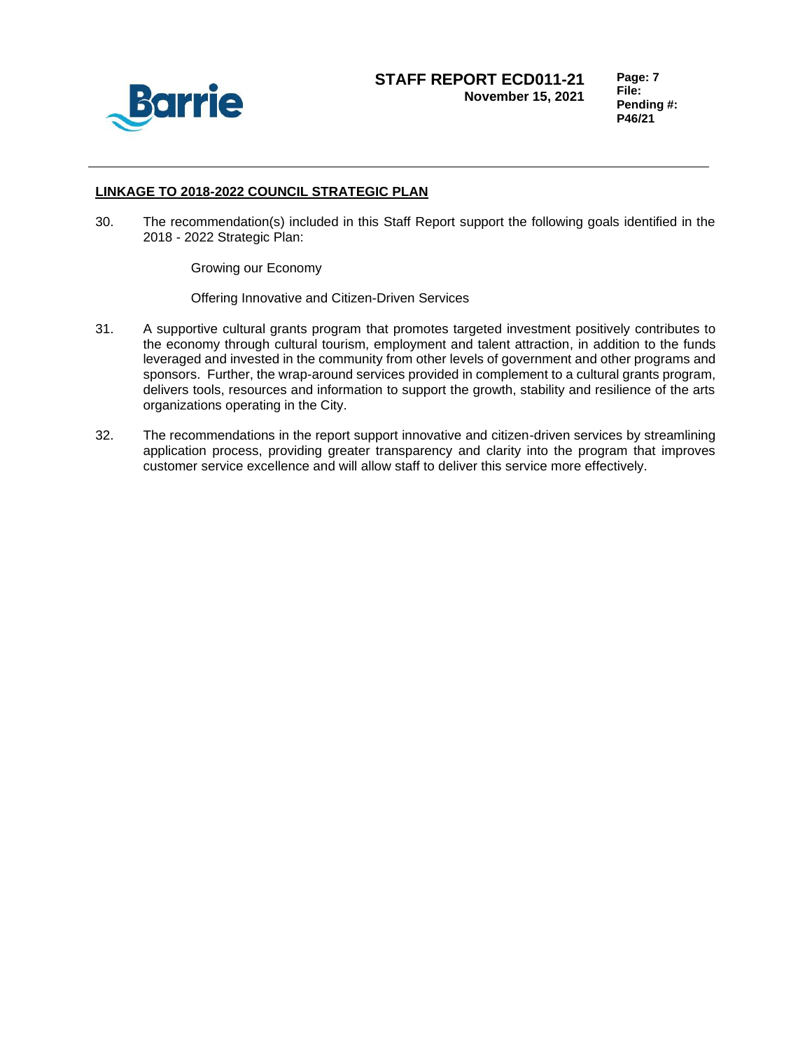

**Page: 7 File: Pending #: P46/21**

## **LINKAGE TO 2018-2022 COUNCIL STRATEGIC PLAN**

30. The recommendation(s) included in this Staff Report support the following goals identified in the 2018 - 2022 Strategic Plan:

Growing our Economy

Offering Innovative and Citizen-Driven Services

- 31. A supportive cultural grants program that promotes targeted investment positively contributes to the economy through cultural tourism, employment and talent attraction, in addition to the funds leveraged and invested in the community from other levels of government and other programs and sponsors. Further, the wrap-around services provided in complement to a cultural grants program, delivers tools, resources and information to support the growth, stability and resilience of the arts organizations operating in the City.
- 32. The recommendations in the report support innovative and citizen-driven services by streamlining application process, providing greater transparency and clarity into the program that improves customer service excellence and will allow staff to deliver this service more effectively.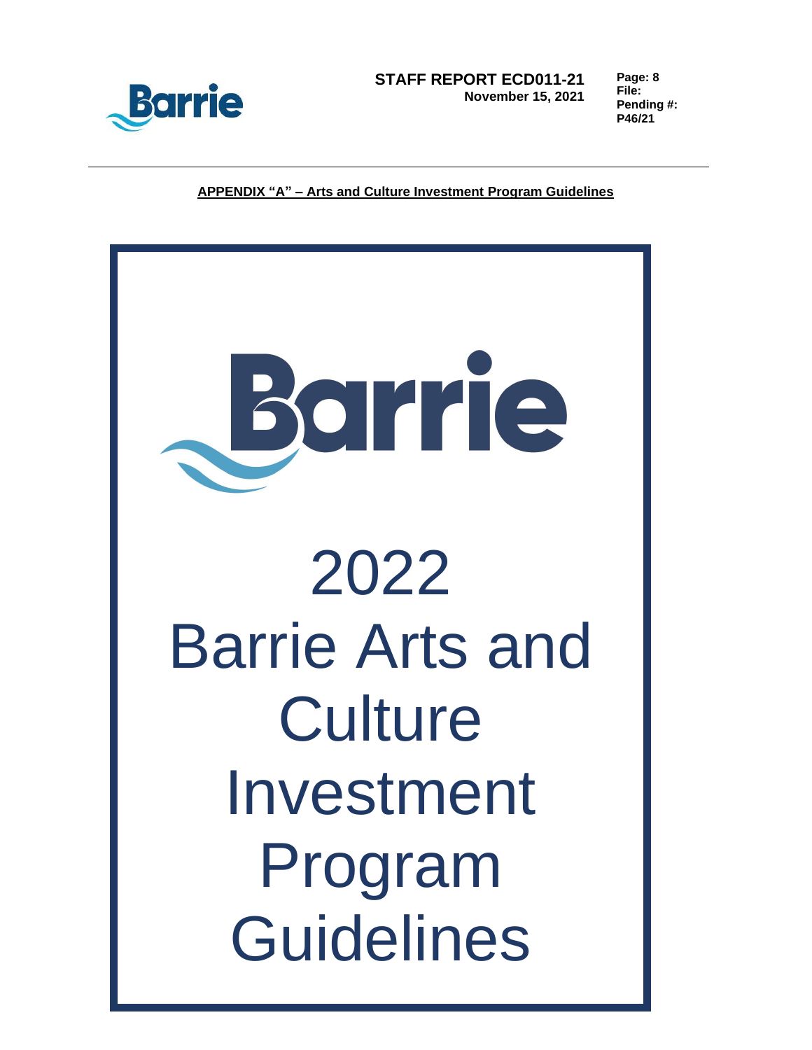

**Page: 8 File: Pending #: P46/21**

**APPENDIX "A" – Arts and Culture Investment Program Guidelines**

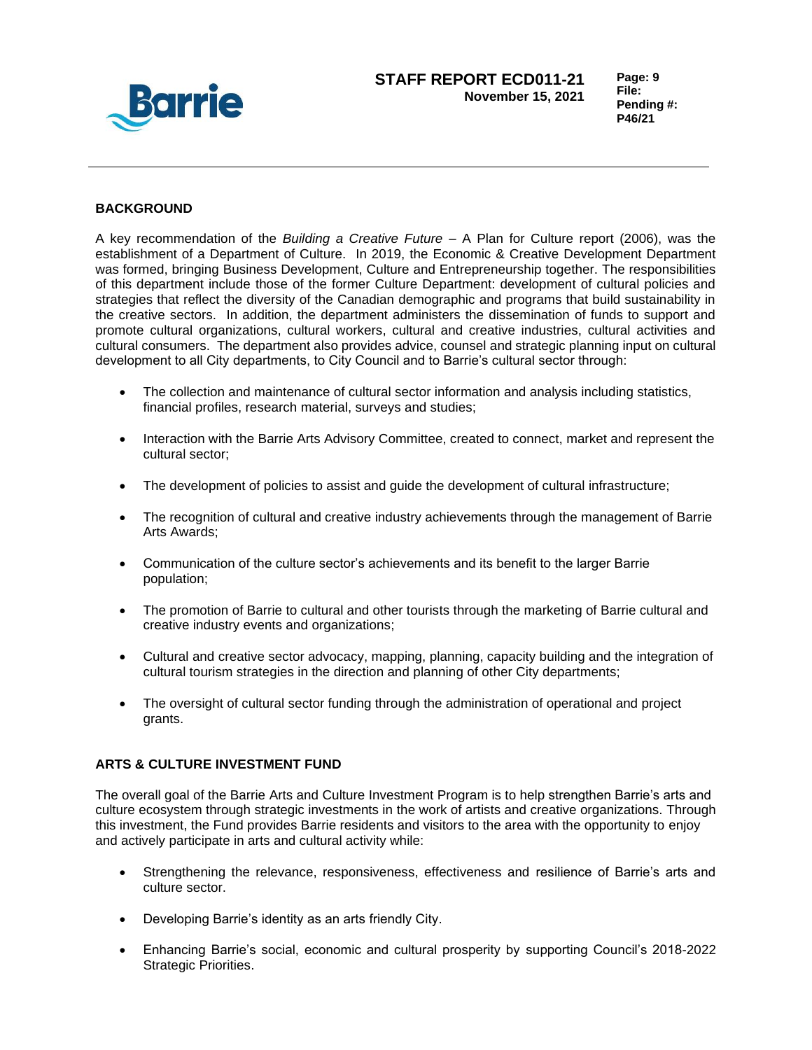

# **BACKGROUND**

A key recommendation of the *Building a Creative Future* – A Plan for Culture report (2006), was the establishment of a Department of Culture. In 2019, the Economic & Creative Development Department was formed, bringing Business Development, Culture and Entrepreneurship together. The responsibilities of this department include those of the former Culture Department: development of cultural policies and strategies that reflect the diversity of the Canadian demographic and programs that build sustainability in the creative sectors. In addition, the department administers the dissemination of funds to support and promote cultural organizations, cultural workers, cultural and creative industries, cultural activities and cultural consumers. The department also provides advice, counsel and strategic planning input on cultural development to all City departments, to City Council and to Barrie's cultural sector through:

- The collection and maintenance of cultural sector information and analysis including statistics, financial profiles, research material, surveys and studies;
- Interaction with the Barrie Arts Advisory Committee, created to connect, market and represent the cultural sector;
- The development of policies to assist and guide the development of cultural infrastructure;
- The recognition of cultural and creative industry achievements through the management of Barrie Arts Awards;
- Communication of the culture sector's achievements and its benefit to the larger Barrie population;
- The promotion of Barrie to cultural and other tourists through the marketing of Barrie cultural and creative industry events and organizations;
- Cultural and creative sector advocacy, mapping, planning, capacity building and the integration of cultural tourism strategies in the direction and planning of other City departments;
- The oversight of cultural sector funding through the administration of operational and project grants.

## **ARTS & CULTURE INVESTMENT FUND**

The overall goal of the Barrie Arts and Culture Investment Program is to help strengthen Barrie's arts and culture ecosystem through strategic investments in the work of artists and creative organizations. Through this investment, the Fund provides Barrie residents and visitors to the area with the opportunity to enjoy and actively participate in arts and cultural activity while:

- Strengthening the relevance, responsiveness, effectiveness and resilience of Barrie's arts and culture sector.
- Developing Barrie's identity as an arts friendly City.
- Enhancing Barrie's social, economic and cultural prosperity by supporting Council's 2018-2022 Strategic Priorities.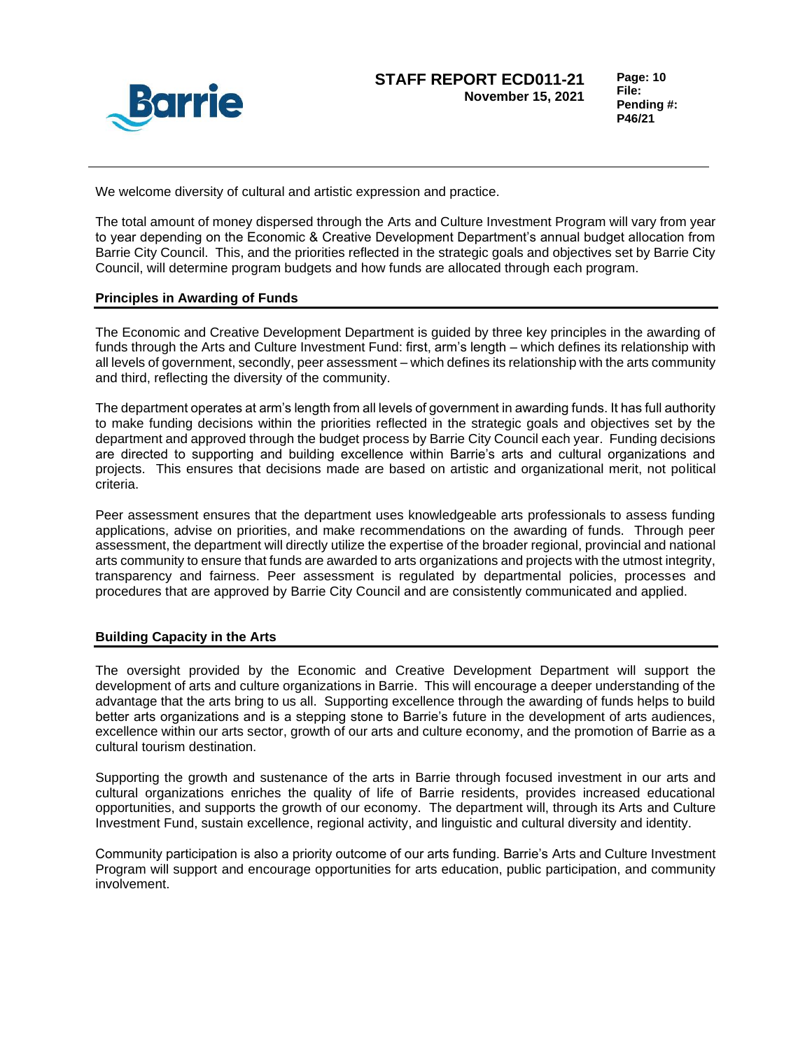

**Page: 10 File: Pending #: P46/21**

We welcome diversity of cultural and artistic expression and practice.

The total amount of money dispersed through the Arts and Culture Investment Program will vary from year to year depending on the Economic & Creative Development Department's annual budget allocation from Barrie City Council. This, and the priorities reflected in the strategic goals and objectives set by Barrie City Council, will determine program budgets and how funds are allocated through each program.

# **Principles in Awarding of Funds**

The Economic and Creative Development Department is guided by three key principles in the awarding of funds through the Arts and Culture Investment Fund: first, arm's length – which defines its relationship with all levels of government, secondly, peer assessment – which defines its relationship with the arts community and third, reflecting the diversity of the community.

The department operates at arm's length from all levels of government in awarding funds. It has full authority to make funding decisions within the priorities reflected in the strategic goals and objectives set by the department and approved through the budget process by Barrie City Council each year. Funding decisions are directed to supporting and building excellence within Barrie's arts and cultural organizations and projects. This ensures that decisions made are based on artistic and organizational merit, not political criteria.

Peer assessment ensures that the department uses knowledgeable arts professionals to assess funding applications, advise on priorities, and make recommendations on the awarding of funds. Through peer assessment, the department will directly utilize the expertise of the broader regional, provincial and national arts community to ensure that funds are awarded to arts organizations and projects with the utmost integrity, transparency and fairness. Peer assessment is regulated by departmental policies, processes and procedures that are approved by Barrie City Council and are consistently communicated and applied.

## **Building Capacity in the Arts**

The oversight provided by the Economic and Creative Development Department will support the development of arts and culture organizations in Barrie. This will encourage a deeper understanding of the advantage that the arts bring to us all. Supporting excellence through the awarding of funds helps to build better arts organizations and is a stepping stone to Barrie's future in the development of arts audiences, excellence within our arts sector, growth of our arts and culture economy, and the promotion of Barrie as a cultural tourism destination.

Supporting the growth and sustenance of the arts in Barrie through focused investment in our arts and cultural organizations enriches the quality of life of Barrie residents, provides increased educational opportunities, and supports the growth of our economy. The department will, through its Arts and Culture Investment Fund, sustain excellence, regional activity, and linguistic and cultural diversity and identity.

Community participation is also a priority outcome of our arts funding. Barrie's Arts and Culture Investment Program will support and encourage opportunities for arts education, public participation, and community involvement.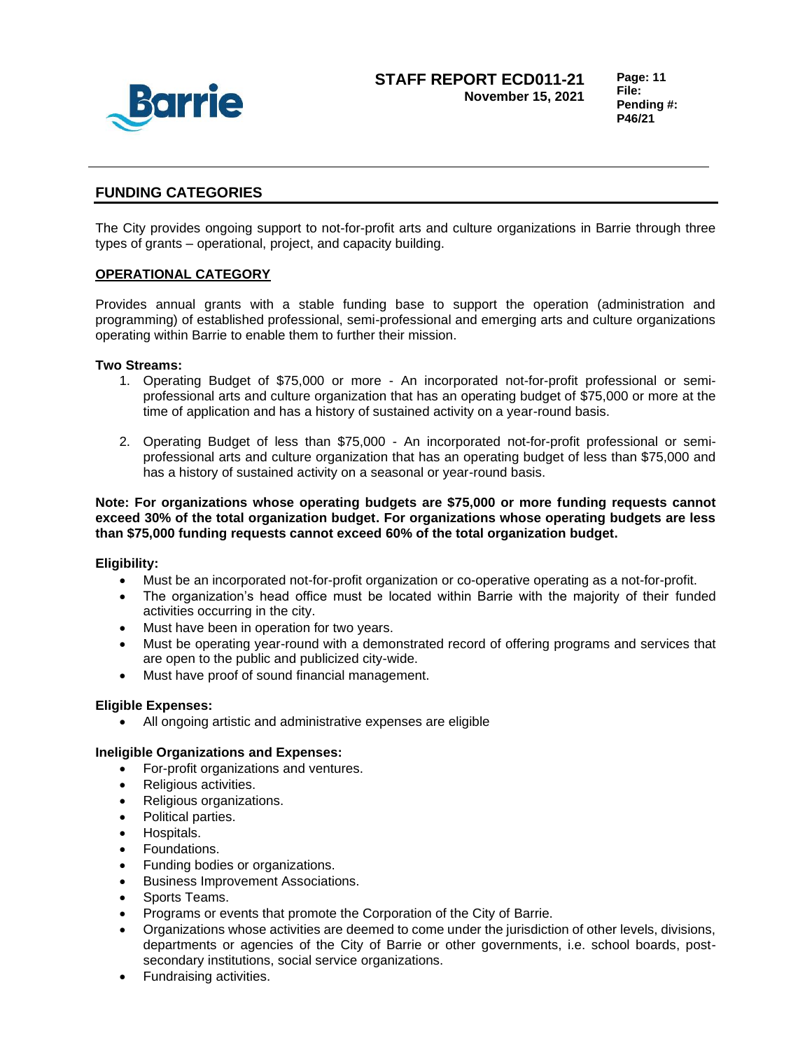

**Page: 11 File: Pending #: P46/21**

# **FUNDING CATEGORIES**

The City provides ongoing support to not-for-profit arts and culture organizations in Barrie through three types of grants – operational, project, and capacity building.

# **OPERATIONAL CATEGORY**

Provides annual grants with a stable funding base to support the operation (administration and programming) of established professional, semi-professional and emerging arts and culture organizations operating within Barrie to enable them to further their mission.

## **Two Streams:**

- 1. Operating Budget of \$75,000 or more An incorporated not-for-profit professional or semiprofessional arts and culture organization that has an operating budget of \$75,000 or more at the time of application and has a history of sustained activity on a year-round basis.
- 2. Operating Budget of less than \$75,000 An incorporated not-for-profit professional or semiprofessional arts and culture organization that has an operating budget of less than \$75,000 and has a history of sustained activity on a seasonal or year-round basis.

**Note: For organizations whose operating budgets are \$75,000 or more funding requests cannot exceed 30% of the total organization budget. For organizations whose operating budgets are less than \$75,000 funding requests cannot exceed 60% of the total organization budget.** 

## **Eligibility:**

- Must be an incorporated not-for-profit organization or co-operative operating as a not-for-profit.
- The organization's head office must be located within Barrie with the majority of their funded activities occurring in the city.
- Must have been in operation for two years.
- Must be operating year-round with a demonstrated record of offering programs and services that are open to the public and publicized city-wide.
- Must have proof of sound financial management.

#### **Eligible Expenses:**

• All ongoing artistic and administrative expenses are eligible

#### **Ineligible Organizations and Expenses:**

- For-profit organizations and ventures.
- Religious activities.
- Religious organizations.
- Political parties.
- Hospitals.
- Foundations.
- Funding bodies or organizations.
- Business Improvement Associations.
- Sports Teams.
- Programs or events that promote the Corporation of the City of Barrie.
- Organizations whose activities are deemed to come under the jurisdiction of other levels, divisions, departments or agencies of the City of Barrie or other governments, i.e. school boards, postsecondary institutions, social service organizations.
- Fundraising activities.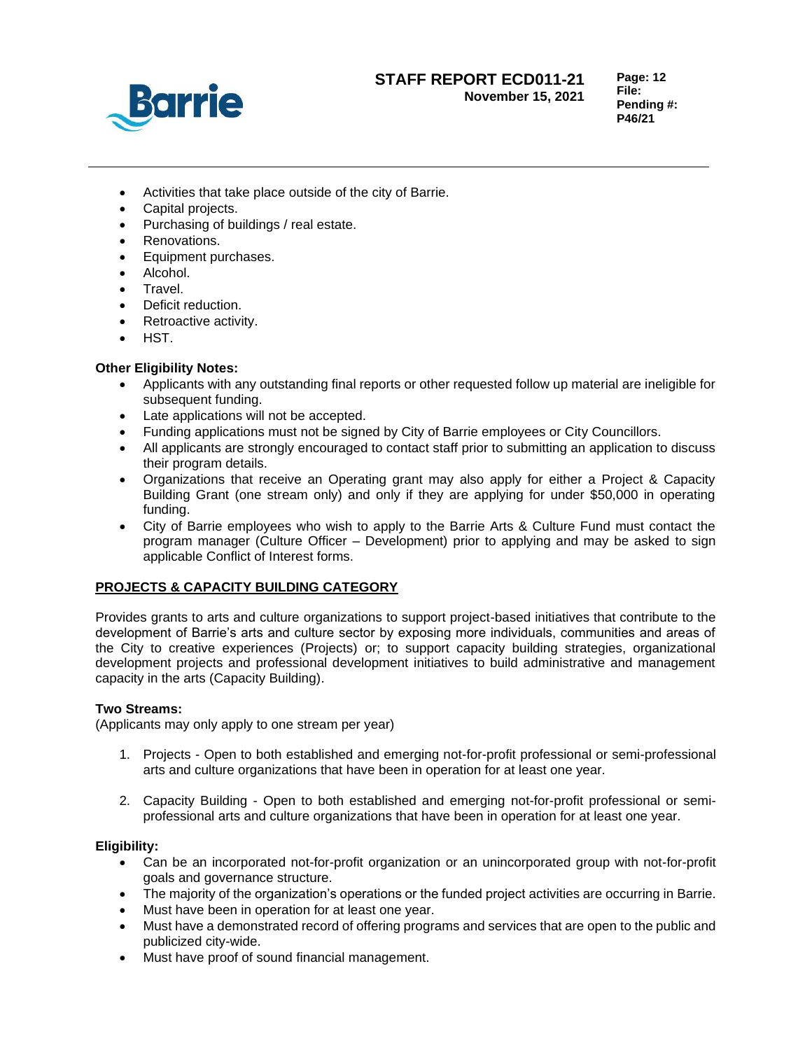

**File: Pending #: P46/21**

**Page: 12**

- Activities that take place outside of the city of Barrie.
- Capital projects.
- Purchasing of buildings / real estate.
- Renovations.
- Equipment purchases.
- Alcohol.
- Travel.
- Deficit reduction.
- Retroactive activity.
- HST.

# **Other Eligibility Notes:**

- Applicants with any outstanding final reports or other requested follow up material are ineligible for subsequent funding.
- Late applications will not be accepted.
- Funding applications must not be signed by City of Barrie employees or City Councillors.
- All applicants are strongly encouraged to contact staff prior to submitting an application to discuss their program details.
- Organizations that receive an Operating grant may also apply for either a Project & Capacity Building Grant (one stream only) and only if they are applying for under \$50,000 in operating funding.
- City of Barrie employees who wish to apply to the Barrie Arts & Culture Fund must contact the program manager (Culture Officer – Development) prior to applying and may be asked to sign applicable Conflict of Interest forms.

# **PROJECTS & CAPACITY BUILDING CATEGORY**

Provides grants to arts and culture organizations to support project-based initiatives that contribute to the development of Barrie's arts and culture sector by exposing more individuals, communities and areas of the City to creative experiences (Projects) or; to support capacity building strategies, organizational development projects and professional development initiatives to build administrative and management capacity in the arts (Capacity Building).

## **Two Streams:**

(Applicants may only apply to one stream per year)

- 1. Projects Open to both established and emerging not-for-profit professional or semi-professional arts and culture organizations that have been in operation for at least one year.
- 2. Capacity Building Open to both established and emerging not-for-profit professional or semiprofessional arts and culture organizations that have been in operation for at least one year.

# **Eligibility:**

- Can be an incorporated not-for-profit organization or an unincorporated group with not-for-profit goals and governance structure.
- The majority of the organization's operations or the funded project activities are occurring in Barrie.
- Must have been in operation for at least one year.
- Must have a demonstrated record of offering programs and services that are open to the public and publicized city-wide.
- Must have proof of sound financial management.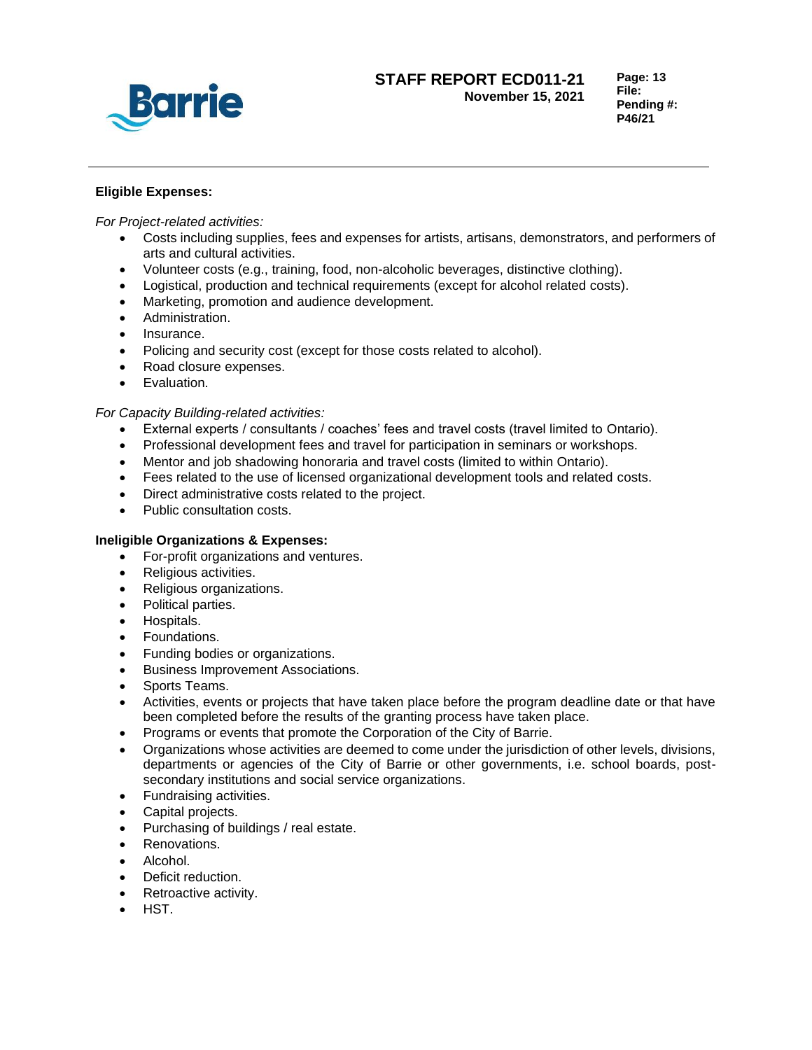

**Page: 13 File: Pending #: P46/21**

# **Eligible Expenses:**

*For Project-related activities:*

- Costs including supplies, fees and expenses for artists, artisans, demonstrators, and performers of arts and cultural activities.
- Volunteer costs (e.g., training, food, non-alcoholic beverages, distinctive clothing).
- Logistical, production and technical requirements (except for alcohol related costs).
- Marketing, promotion and audience development.
- Administration.
- Insurance.
- Policing and security cost (except for those costs related to alcohol).
- Road closure expenses.
- Evaluation.

# *For Capacity Building-related activities:*

- External experts / consultants / coaches' fees and travel costs (travel limited to Ontario).
- Professional development fees and travel for participation in seminars or workshops.
- Mentor and job shadowing honoraria and travel costs (limited to within Ontario).
- Fees related to the use of licensed organizational development tools and related costs.
- Direct administrative costs related to the project.
- Public consultation costs.

## **Ineligible Organizations & Expenses:**

- For-profit organizations and ventures.
- Religious activities.
- Religious organizations.
- Political parties.
- Hospitals.
- Foundations.
- Funding bodies or organizations.
- Business Improvement Associations.
- Sports Teams.
- Activities, events or projects that have taken place before the program deadline date or that have been completed before the results of the granting process have taken place.
- Programs or events that promote the Corporation of the City of Barrie.
- Organizations whose activities are deemed to come under the jurisdiction of other levels, divisions, departments or agencies of the City of Barrie or other governments, i.e. school boards, postsecondary institutions and social service organizations.
- Fundraising activities.
- Capital projects.
- Purchasing of buildings / real estate.
- Renovations.
- Alcohol.
- Deficit reduction.
- Retroactive activity.
- HST.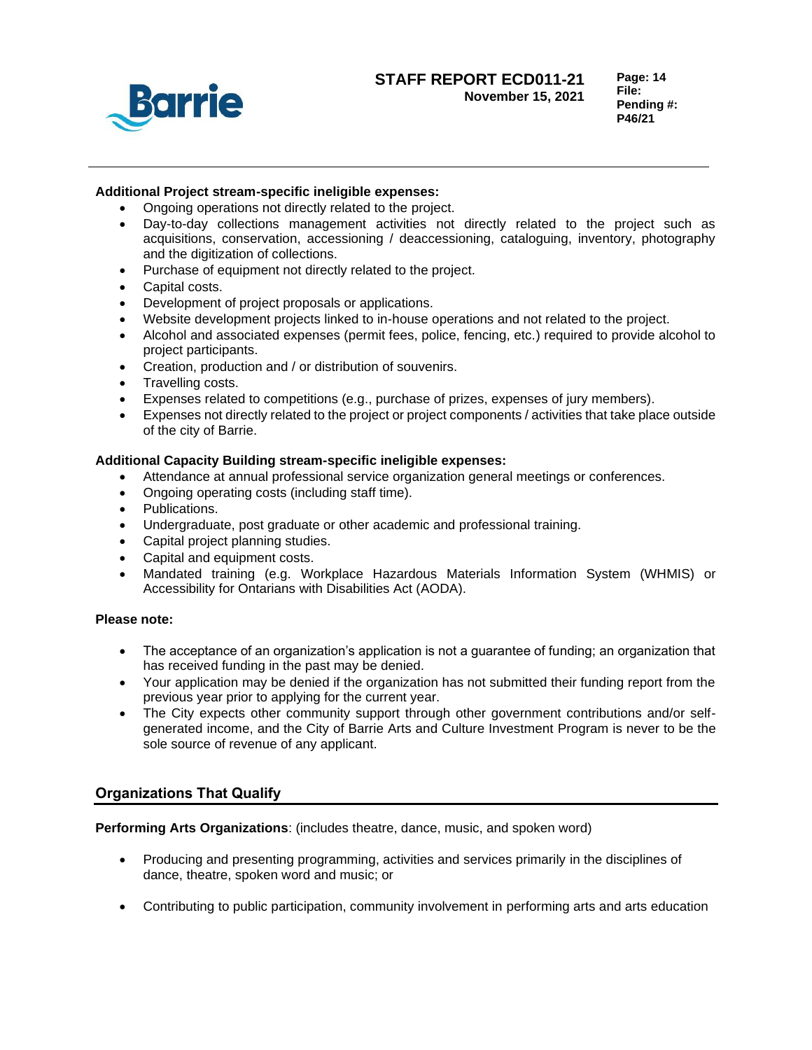

# **Additional Project stream-specific ineligible expenses:**

- Ongoing operations not directly related to the project.
- Day-to-day collections management activities not directly related to the project such as acquisitions, conservation, accessioning / deaccessioning, cataloguing, inventory, photography and the digitization of collections.
- Purchase of equipment not directly related to the project.
- Capital costs.
- Development of project proposals or applications.
- Website development projects linked to in-house operations and not related to the project.
- Alcohol and associated expenses (permit fees, police, fencing, etc.) required to provide alcohol to project participants.
- Creation, production and / or distribution of souvenirs.
- Travelling costs.
- Expenses related to competitions (e.g., purchase of prizes, expenses of jury members).
- Expenses not directly related to the project or project components / activities that take place outside of the city of Barrie.

## **Additional Capacity Building stream-specific ineligible expenses:**

- Attendance at annual professional service organization general meetings or conferences.
- Ongoing operating costs (including staff time).
- Publications.
- Undergraduate, post graduate or other academic and professional training.
- Capital project planning studies.
- Capital and equipment costs.
- Mandated training (e.g. Workplace Hazardous Materials Information System (WHMIS) or Accessibility for Ontarians with Disabilities Act (AODA).

## **Please note:**

- The acceptance of an organization's application is not a guarantee of funding; an organization that has received funding in the past may be denied.
- Your application may be denied if the organization has not submitted their funding report from the previous year prior to applying for the current year.
- The City expects other community support through other government contributions and/or selfgenerated income, and the City of Barrie Arts and Culture Investment Program is never to be the sole source of revenue of any applicant.

# **Organizations That Qualify**

**Performing Arts Organizations**: (includes theatre, dance, music, and spoken word)

- Producing and presenting programming, activities and services primarily in the disciplines of dance, theatre, spoken word and music; or
- Contributing to public participation, community involvement in performing arts and arts education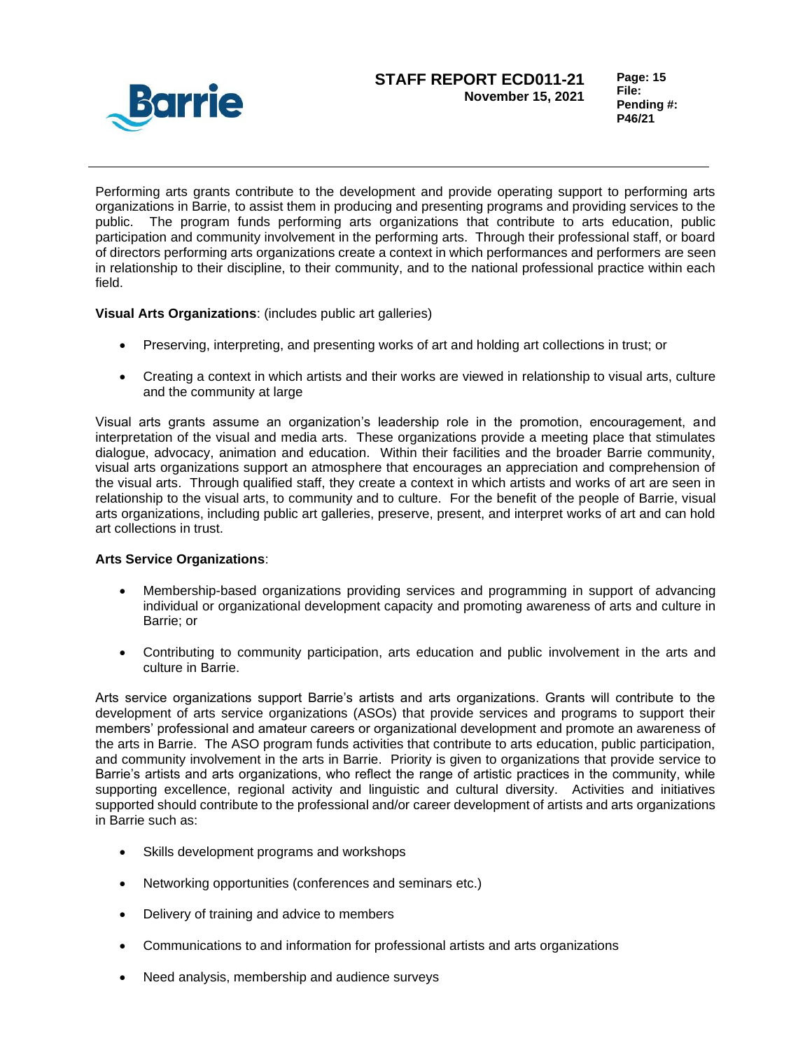

Performing arts grants contribute to the development and provide operating support to performing arts organizations in Barrie, to assist them in producing and presenting programs and providing services to the public. The program funds performing arts organizations that contribute to arts education, public participation and community involvement in the performing arts. Through their professional staff, or board of directors performing arts organizations create a context in which performances and performers are seen in relationship to their discipline, to their community, and to the national professional practice within each field.

**Visual Arts Organizations**: (includes public art galleries)

- Preserving, interpreting, and presenting works of art and holding art collections in trust; or
- Creating a context in which artists and their works are viewed in relationship to visual arts, culture and the community at large

Visual arts grants assume an organization's leadership role in the promotion, encouragement, and interpretation of the visual and media arts. These organizations provide a meeting place that stimulates dialogue, advocacy, animation and education. Within their facilities and the broader Barrie community, visual arts organizations support an atmosphere that encourages an appreciation and comprehension of the visual arts. Through qualified staff, they create a context in which artists and works of art are seen in relationship to the visual arts, to community and to culture. For the benefit of the people of Barrie, visual arts organizations, including public art galleries, preserve, present, and interpret works of art and can hold art collections in trust.

## **Arts Service Organizations**:

- Membership-based organizations providing services and programming in support of advancing individual or organizational development capacity and promoting awareness of arts and culture in Barrie; or
- Contributing to community participation, arts education and public involvement in the arts and culture in Barrie.

Arts service organizations support Barrie's artists and arts organizations. Grants will contribute to the development of arts service organizations (ASOs) that provide services and programs to support their members' professional and amateur careers or organizational development and promote an awareness of the arts in Barrie. The ASO program funds activities that contribute to arts education, public participation, and community involvement in the arts in Barrie. Priority is given to organizations that provide service to Barrie's artists and arts organizations, who reflect the range of artistic practices in the community, while supporting excellence, regional activity and linguistic and cultural diversity. Activities and initiatives supported should contribute to the professional and/or career development of artists and arts organizations in Barrie such as:

- Skills development programs and workshops
- Networking opportunities (conferences and seminars etc.)
- Delivery of training and advice to members
- Communications to and information for professional artists and arts organizations
- Need analysis, membership and audience surveys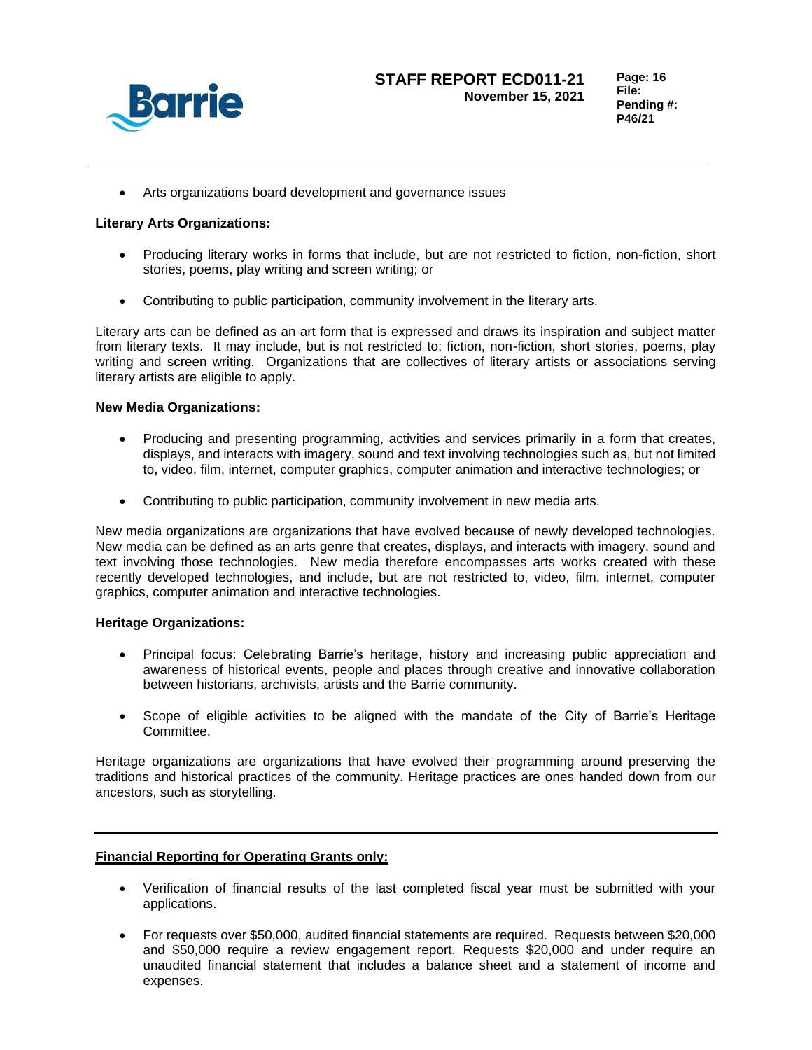

• Arts organizations board development and governance issues

# **Literary Arts Organizations:**

- Producing literary works in forms that include, but are not restricted to fiction, non-fiction, short stories, poems, play writing and screen writing; or
- Contributing to public participation, community involvement in the literary arts.

Literary arts can be defined as an art form that is expressed and draws its inspiration and subject matter from literary texts. It may include, but is not restricted to; fiction, non-fiction, short stories, poems, play writing and screen writing. Organizations that are collectives of literary artists or associations serving literary artists are eligible to apply.

## **New Media Organizations:**

- Producing and presenting programming, activities and services primarily in a form that creates, displays, and interacts with imagery, sound and text involving technologies such as, but not limited to, video, film, internet, computer graphics, computer animation and interactive technologies; or
- Contributing to public participation, community involvement in new media arts.

New media organizations are organizations that have evolved because of newly developed technologies. New media can be defined as an arts genre that creates, displays, and interacts with imagery, sound and text involving those technologies. New media therefore encompasses arts works created with these recently developed technologies, and include, but are not restricted to, video, film, internet, computer graphics, computer animation and interactive technologies.

## **Heritage Organizations:**

- Principal focus: Celebrating Barrie's heritage, history and increasing public appreciation and awareness of historical events, people and places through creative and innovative collaboration between historians, archivists, artists and the Barrie community.
- Scope of eligible activities to be aligned with the mandate of the City of Barrie's Heritage Committee.

Heritage organizations are organizations that have evolved their programming around preserving the traditions and historical practices of the community. Heritage practices are ones handed down from our ancestors, such as storytelling.

# **Financial Reporting for Operating Grants only:**

- Verification of financial results of the last completed fiscal year must be submitted with your applications.
- For requests over \$50,000, audited financial statements are required. Requests between \$20,000 and \$50,000 require a review engagement report. Requests \$20,000 and under require an unaudited financial statement that includes a balance sheet and a statement of income and expenses.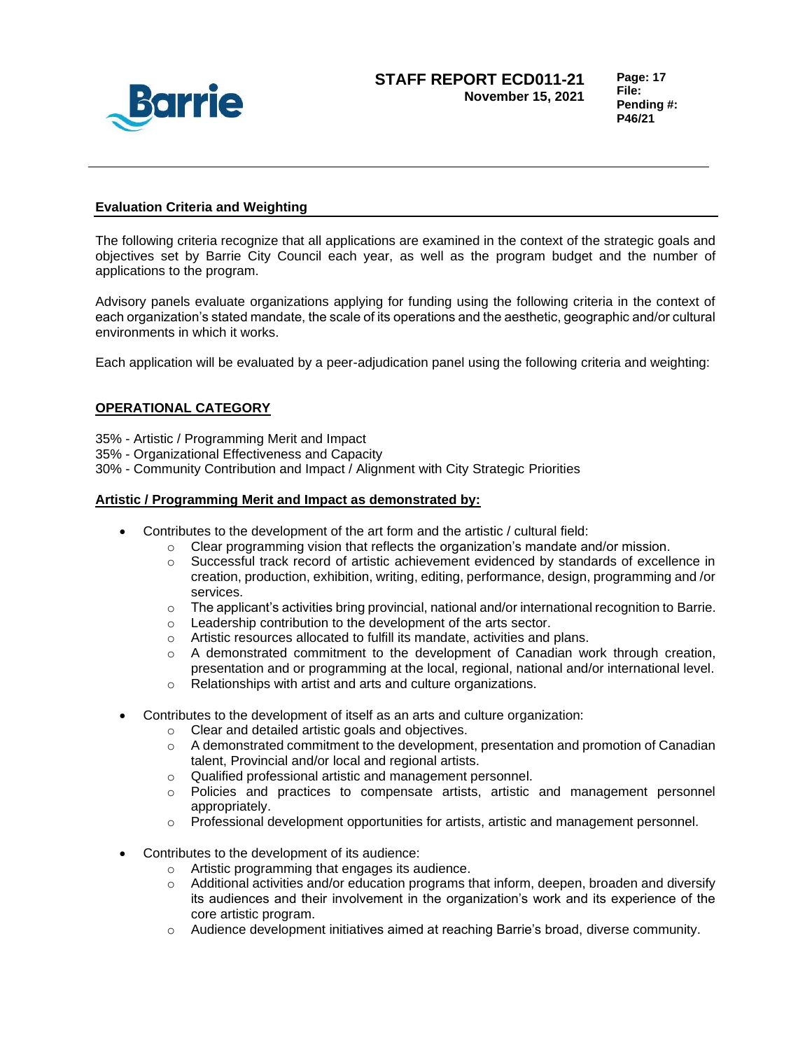

## **Evaluation Criteria and Weighting**

The following criteria recognize that all applications are examined in the context of the strategic goals and objectives set by Barrie City Council each year, as well as the program budget and the number of applications to the program.

Advisory panels evaluate organizations applying for funding using the following criteria in the context of each organization's stated mandate, the scale of its operations and the aesthetic, geographic and/or cultural environments in which it works.

Each application will be evaluated by a peer-adjudication panel using the following criteria and weighting:

# **OPERATIONAL CATEGORY**

- 35% Artistic / Programming Merit and Impact
- 35% Organizational Effectiveness and Capacity
- 30% Community Contribution and Impact / Alignment with City Strategic Priorities

### **Artistic / Programming Merit and Impact as demonstrated by:**

- Contributes to the development of the art form and the artistic / cultural field:
	- $\circ$  Clear programming vision that reflects the organization's mandate and/or mission.
	- o Successful track record of artistic achievement evidenced by standards of excellence in creation, production, exhibition, writing, editing, performance, design, programming and /or services.
	- $\circ$  The applicant's activities bring provincial, national and/or international recognition to Barrie.
	- o Leadership contribution to the development of the arts sector.
	- o Artistic resources allocated to fulfill its mandate, activities and plans.
	- $\circ$  A demonstrated commitment to the development of Canadian work through creation, presentation and or programming at the local, regional, national and/or international level.
	- o Relationships with artist and arts and culture organizations.
- Contributes to the development of itself as an arts and culture organization:
	- o Clear and detailed artistic goals and objectives.
	- $\circ$  A demonstrated commitment to the development, presentation and promotion of Canadian talent, Provincial and/or local and regional artists.
	- o Qualified professional artistic and management personnel.
	- o Policies and practices to compensate artists, artistic and management personnel appropriately.
	- $\circ$  Professional development opportunities for artists, artistic and management personnel.
- Contributes to the development of its audience:
	- o Artistic programming that engages its audience.
	- $\circ$  Additional activities and/or education programs that inform, deepen, broaden and diversify its audiences and their involvement in the organization's work and its experience of the core artistic program.
	- o Audience development initiatives aimed at reaching Barrie's broad, diverse community.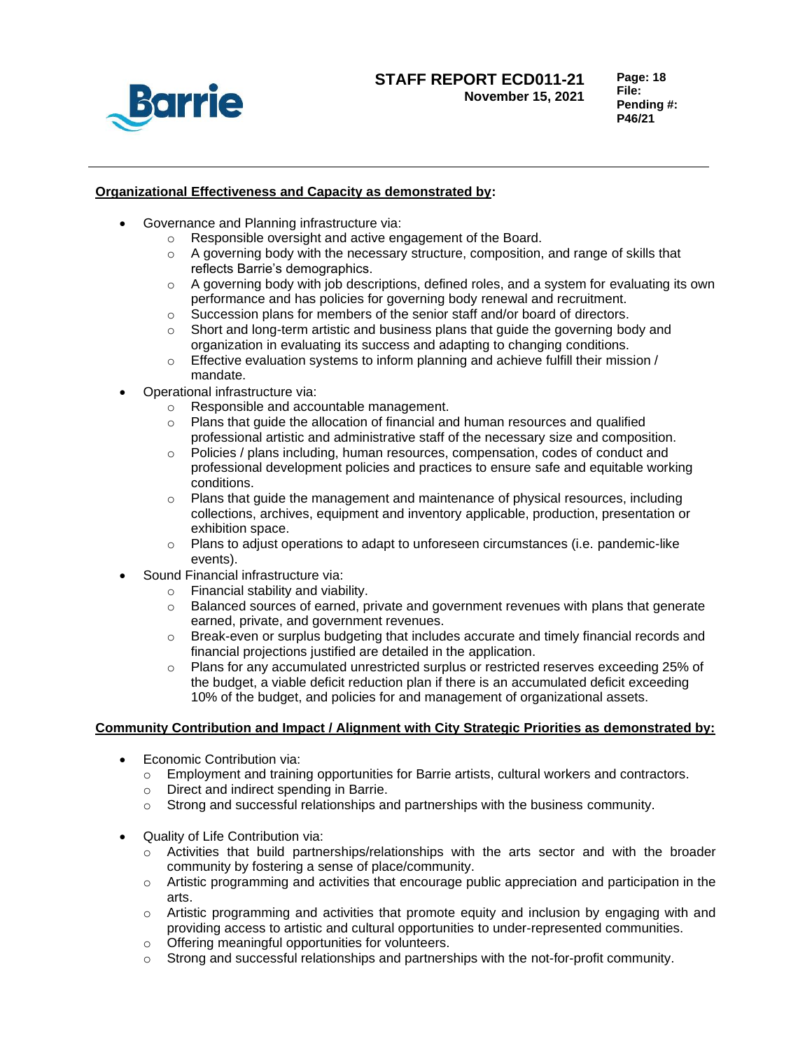

**Page: 18 File: Pending #: P46/21**

## **Organizational Effectiveness and Capacity as demonstrated by:**

- Governance and Planning infrastructure via:
	- o Responsible oversight and active engagement of the Board.
	- $\circ$  A governing body with the necessary structure, composition, and range of skills that reflects Barrie's demographics.
	- $\circ$  A governing body with job descriptions, defined roles, and a system for evaluating its own performance and has policies for governing body renewal and recruitment.
	- o Succession plans for members of the senior staff and/or board of directors.
	- $\circ$  Short and long-term artistic and business plans that guide the governing body and organization in evaluating its success and adapting to changing conditions.
	- $\circ$  Effective evaluation systems to inform planning and achieve fulfill their mission / mandate.
- Operational infrastructure via:
	- o Responsible and accountable management.
	- $\circ$  Plans that guide the allocation of financial and human resources and qualified professional artistic and administrative staff of the necessary size and composition.
	- o Policies / plans including, human resources, compensation, codes of conduct and professional development policies and practices to ensure safe and equitable working conditions.
	- $\circ$  Plans that guide the management and maintenance of physical resources, including collections, archives, equipment and inventory applicable, production, presentation or exhibition space.
	- $\circ$  Plans to adjust operations to adapt to unforeseen circumstances (i.e. pandemic-like events).
- Sound Financial infrastructure via:
	- o Financial stability and viability.
	- o Balanced sources of earned, private and government revenues with plans that generate earned, private, and government revenues.
	- $\circ$  Break-even or surplus budgeting that includes accurate and timely financial records and financial projections justified are detailed in the application.
	- o Plans for any accumulated unrestricted surplus or restricted reserves exceeding 25% of the budget, a viable deficit reduction plan if there is an accumulated deficit exceeding 10% of the budget, and policies for and management of organizational assets.

## **Community Contribution and Impact / Alignment with City Strategic Priorities as demonstrated by:**

- Economic Contribution via:
	- $\circ$  Employment and training opportunities for Barrie artists, cultural workers and contractors.
	- o Direct and indirect spending in Barrie.
	- $\circ$  Strong and successful relationships and partnerships with the business community.
- Quality of Life Contribution via:
	- $\circ$  Activities that build partnerships/relationships with the arts sector and with the broader community by fostering a sense of place/community.
	- $\circ$  Artistic programming and activities that encourage public appreciation and participation in the arts.
	- $\circ$  Artistic programming and activities that promote equity and inclusion by engaging with and providing access to artistic and cultural opportunities to under-represented communities.
	- o Offering meaningful opportunities for volunteers.
	- $\circ$  Strong and successful relationships and partnerships with the not-for-profit community.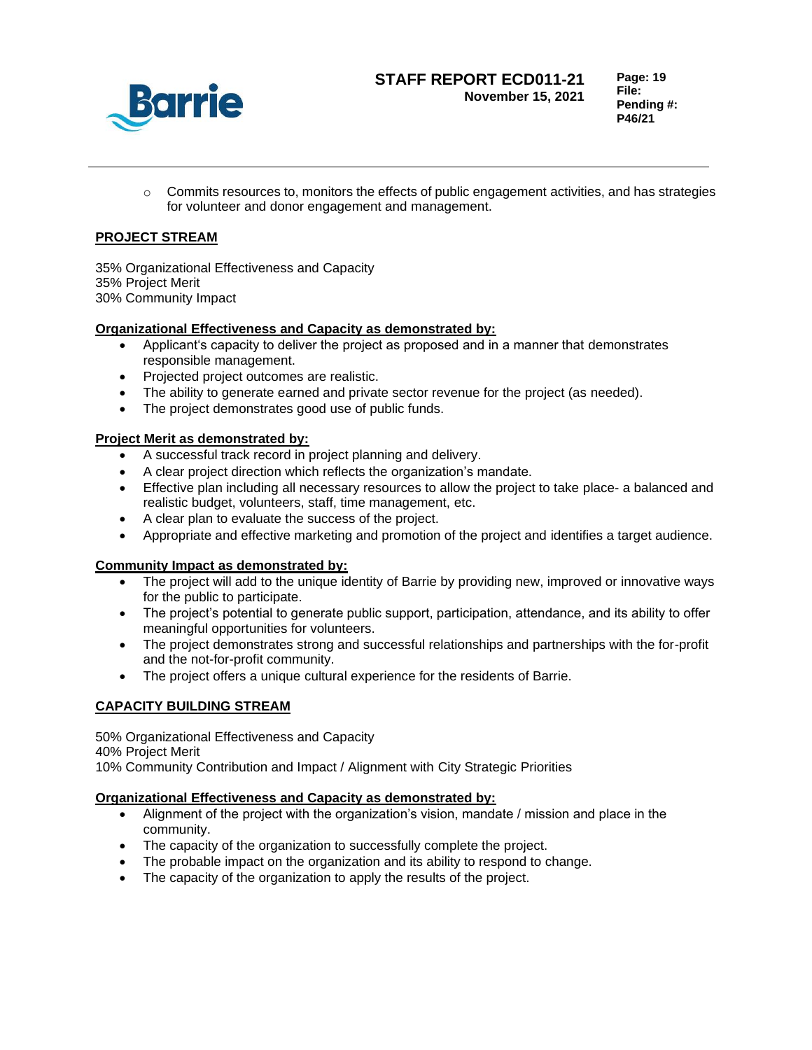

**Page: 19 File: Pending #: P46/21**

 $\circ$  Commits resources to, monitors the effects of public engagement activities, and has strategies for volunteer and donor engagement and management.

# **PROJECT STREAM**

35% Organizational Effectiveness and Capacity 35% Project Merit 30% Community Impact

# **Organizational Effectiveness and Capacity as demonstrated by:**

- Applicant's capacity to deliver the project as proposed and in a manner that demonstrates responsible management.
- Projected project outcomes are realistic.
- The ability to generate earned and private sector revenue for the project (as needed).
- The project demonstrates good use of public funds.

# **Project Merit as demonstrated by:**

- A successful track record in project planning and delivery.
- A clear project direction which reflects the organization's mandate.
- Effective plan including all necessary resources to allow the project to take place- a balanced and realistic budget, volunteers, staff, time management, etc.
- A clear plan to evaluate the success of the project.
- Appropriate and effective marketing and promotion of the project and identifies a target audience.

# **Community Impact as demonstrated by:**

- The project will add to the unique identity of Barrie by providing new, improved or innovative ways for the public to participate.
- The project's potential to generate public support, participation, attendance, and its ability to offer meaningful opportunities for volunteers.
- The project demonstrates strong and successful relationships and partnerships with the for-profit and the not-for-profit community.
- The project offers a unique cultural experience for the residents of Barrie.

# **CAPACITY BUILDING STREAM**

50% Organizational Effectiveness and Capacity 40% Project Merit 10% Community Contribution and Impact / Alignment with City Strategic Priorities

## **Organizational Effectiveness and Capacity as demonstrated by:**

- Alignment of the project with the organization's vision, mandate / mission and place in the community.
- The capacity of the organization to successfully complete the project.
- The probable impact on the organization and its ability to respond to change.
- The capacity of the organization to apply the results of the project.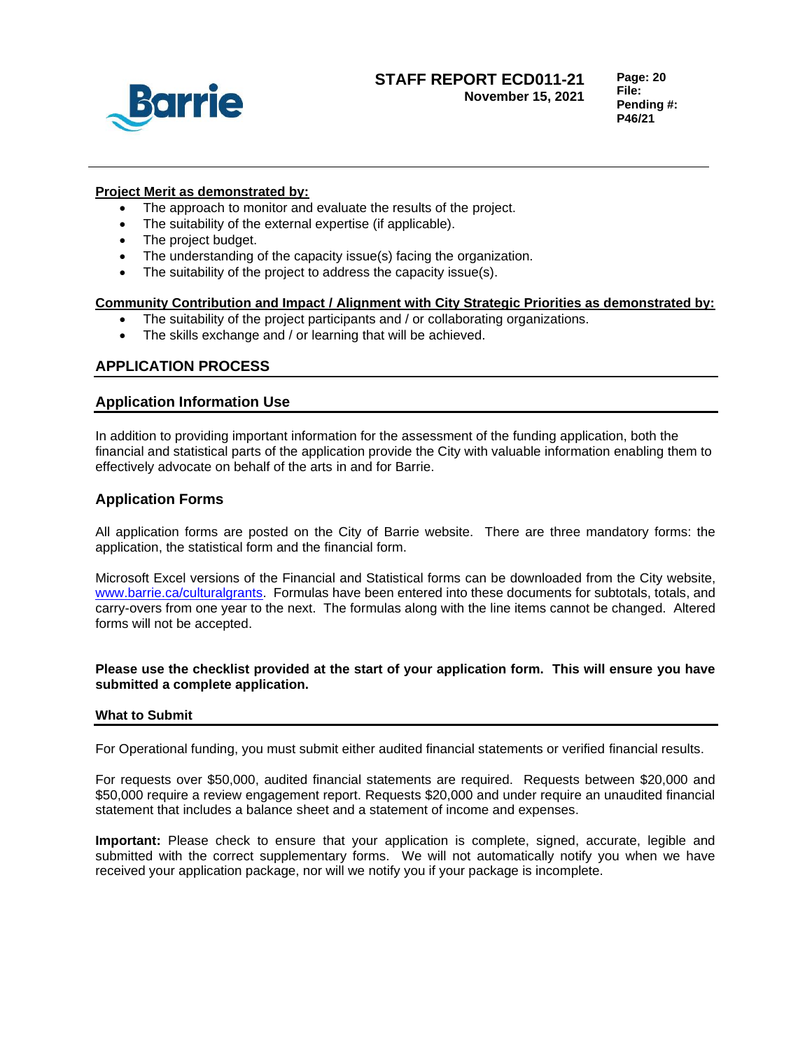

**Page: 20 File: Pending #: P46/21**

### **Project Merit as demonstrated by:**

- The approach to monitor and evaluate the results of the project.
- The suitability of the external expertise (if applicable).
- The project budget.
- The understanding of the capacity issue(s) facing the organization.
- The suitability of the project to address the capacity issue(s).

# **Community Contribution and Impact / Alignment with City Strategic Priorities as demonstrated by:**

- The suitability of the project participants and / or collaborating organizations.
- The skills exchange and / or learning that will be achieved.

# **APPLICATION PROCESS**

# **Application Information Use**

In addition to providing important information for the assessment of the funding application, both the financial and statistical parts of the application provide the City with valuable information enabling them to effectively advocate on behalf of the arts in and for Barrie.

# **Application Forms**

All application forms are posted on the City of Barrie website. There are three mandatory forms: the application, the statistical form and the financial form.

Microsoft Excel versions of the Financial and Statistical forms can be downloaded from the City website, [www.barrie.ca/culturalgrants.](http://www.barrie.ca/culturalgrants) Formulas have been entered into these documents for subtotals, totals, and carry-overs from one year to the next. The formulas along with the line items cannot be changed. Altered forms will not be accepted.

## **Please use the checklist provided at the start of your application form. This will ensure you have submitted a complete application.**

## **What to Submit**

For Operational funding, you must submit either audited financial statements or verified financial results.

For requests over \$50,000, audited financial statements are required. Requests between \$20,000 and \$50,000 require a review engagement report. Requests \$20,000 and under require an unaudited financial statement that includes a balance sheet and a statement of income and expenses.

**Important:** Please check to ensure that your application is complete, signed, accurate, legible and submitted with the correct supplementary forms. We will not automatically notify you when we have received your application package, nor will we notify you if your package is incomplete.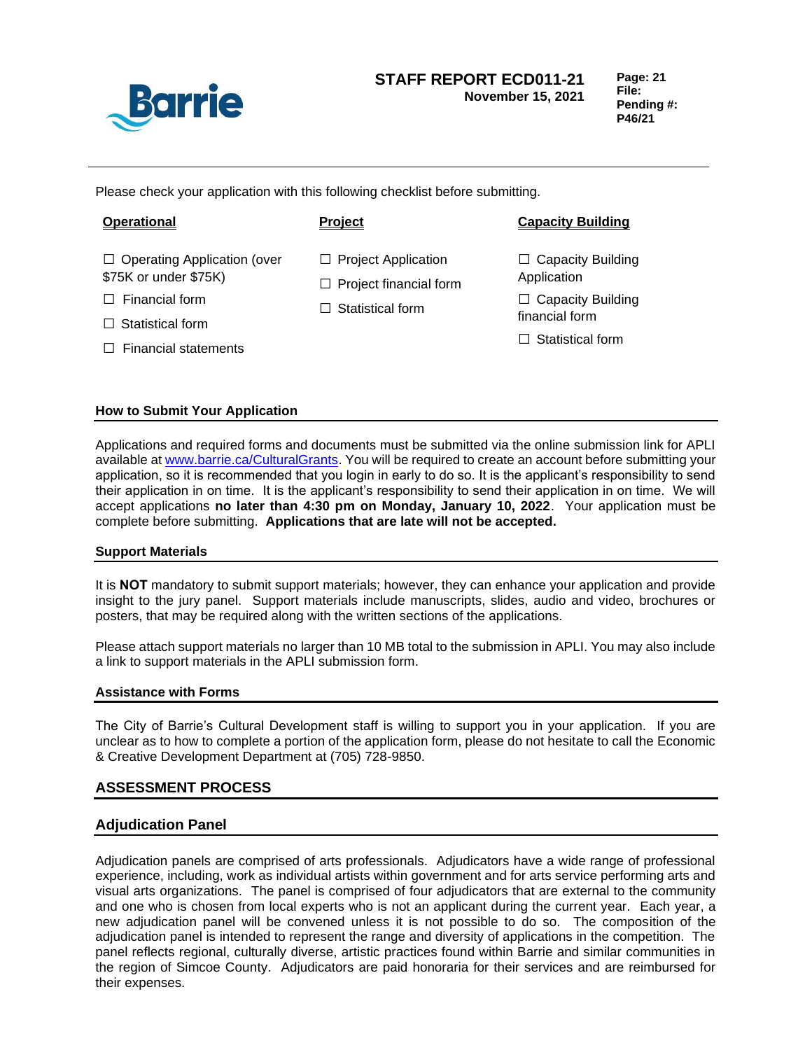

**Page: 21 File: Pending #: P46/21**

Please check your application with this following checklist before submitting.

- □ Operating Application (over \$75K or under \$75K)
- □ Financial form
- $\Box$  Statistical form
- $\Box$  Financial statements

- □ Project Application
- $\square$  Project financial form
- $\Box$  Statistical form

# **Operational Project Capacity Building**

- $\square$  Capacity Building Application
- □ Capacity Building financial form
- $\Box$  Statistical form

# **How to Submit Your Application**

Applications and required forms and documents must be submitted via the online submission link for APLI available a[t www.barrie.ca/CulturalGrants.](http://www.barrie.ca/CulturalGrants) You will be required to create an account before submitting your application, so it is recommended that you login in early to do so. It is the applicant's responsibility to send their application in on time. It is the applicant's responsibility to send their application in on time. We will accept applications **no later than 4:30 pm on Monday, January 10, 2022**. Your application must be complete before submitting. **Applications that are late will not be accepted.**

## **Support Materials**

It is **NOT** mandatory to submit support materials; however, they can enhance your application and provide insight to the jury panel. Support materials include manuscripts, slides, audio and video, brochures or posters, that may be required along with the written sections of the applications.

Please attach support materials no larger than 10 MB total to the submission in APLI. You may also include a link to support materials in the APLI submission form.

## **Assistance with Forms**

The City of Barrie's Cultural Development staff is willing to support you in your application. If you are unclear as to how to complete a portion of the application form, please do not hesitate to call the Economic & Creative Development Department at (705) 728-9850.

# **ASSESSMENT PROCESS**

# **Adjudication Panel**

Adjudication panels are comprised of arts professionals. Adjudicators have a wide range of professional experience, including, work as individual artists within government and for arts service performing arts and visual arts organizations. The panel is comprised of four adjudicators that are external to the community and one who is chosen from local experts who is not an applicant during the current year. Each year, a new adjudication panel will be convened unless it is not possible to do so. The composition of the adjudication panel is intended to represent the range and diversity of applications in the competition. The panel reflects regional, culturally diverse, artistic practices found within Barrie and similar communities in the region of Simcoe County. Adjudicators are paid honoraria for their services and are reimbursed for their expenses.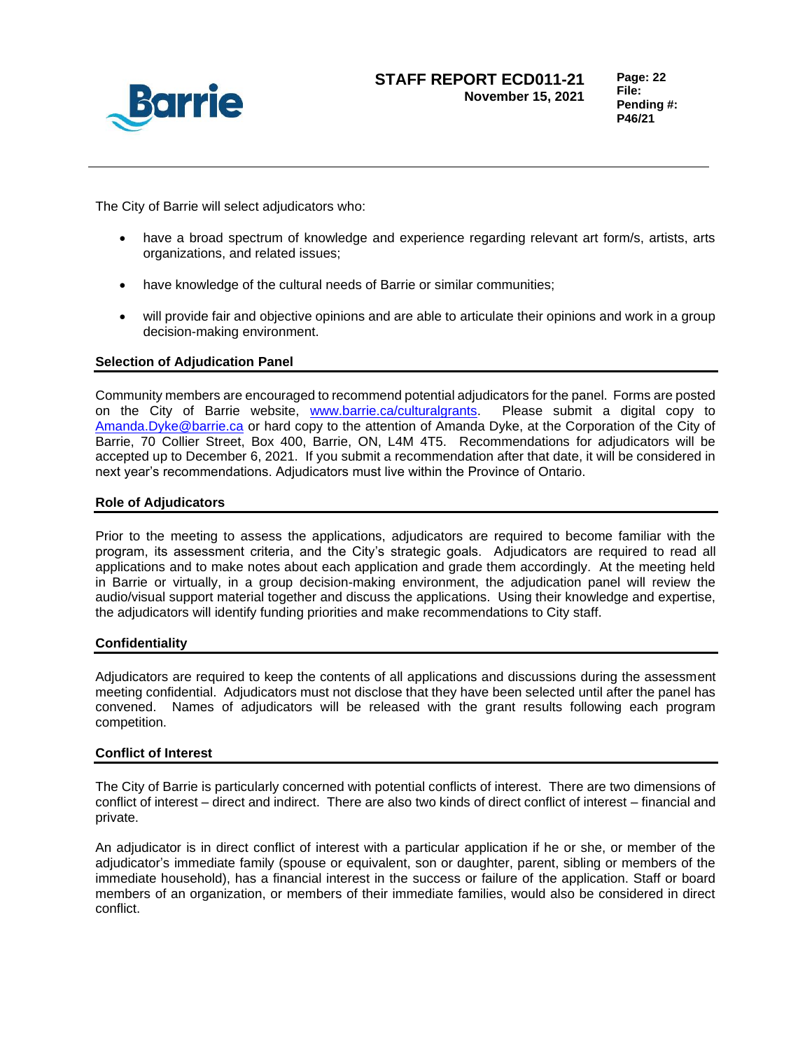

**Page: 22 File: Pending #: P46/21**

The City of Barrie will select adjudicators who:

- have a broad spectrum of knowledge and experience regarding relevant art form/s, artists, arts organizations, and related issues;
- have knowledge of the cultural needs of Barrie or similar communities;
- will provide fair and objective opinions and are able to articulate their opinions and work in a group decision-making environment.

## **Selection of Adjudication Panel**

Community members are encouraged to recommend potential adjudicators for the panel. Forms are posted on the City of Barrie website, [www.barrie.ca/culturalgrants.](file://///barrie.ca/files/Invest/Bus%20Dev/Bus%20Dev/Council/C11-Repts%20to%20Council/2021/www.barrie.ca/culturalgrants) Please submit a digital copy to [Amanda.Dyke@barrie.ca](mailto:Amanda.Dyke@barrie.ca) or hard copy to the attention of Amanda Dyke, at the Corporation of the City of Barrie, 70 Collier Street, Box 400, Barrie, ON, L4M 4T5. Recommendations for adjudicators will be accepted up to December 6, 2021. If you submit a recommendation after that date, it will be considered in next year's recommendations. Adjudicators must live within the Province of Ontario.

### **Role of Adjudicators**

Prior to the meeting to assess the applications, adjudicators are required to become familiar with the program, its assessment criteria, and the City's strategic goals. Adjudicators are required to read all applications and to make notes about each application and grade them accordingly. At the meeting held in Barrie or virtually, in a group decision-making environment, the adjudication panel will review the audio/visual support material together and discuss the applications. Using their knowledge and expertise, the adjudicators will identify funding priorities and make recommendations to City staff.

#### **Confidentiality**

Adjudicators are required to keep the contents of all applications and discussions during the assessment meeting confidential. Adjudicators must not disclose that they have been selected until after the panel has convened. Names of adjudicators will be released with the grant results following each program competition.

#### **Conflict of Interest**

The City of Barrie is particularly concerned with potential conflicts of interest. There are two dimensions of conflict of interest – direct and indirect. There are also two kinds of direct conflict of interest – financial and private.

An adjudicator is in direct conflict of interest with a particular application if he or she, or member of the adjudicator's immediate family (spouse or equivalent, son or daughter, parent, sibling or members of the immediate household), has a financial interest in the success or failure of the application. Staff or board members of an organization, or members of their immediate families, would also be considered in direct conflict.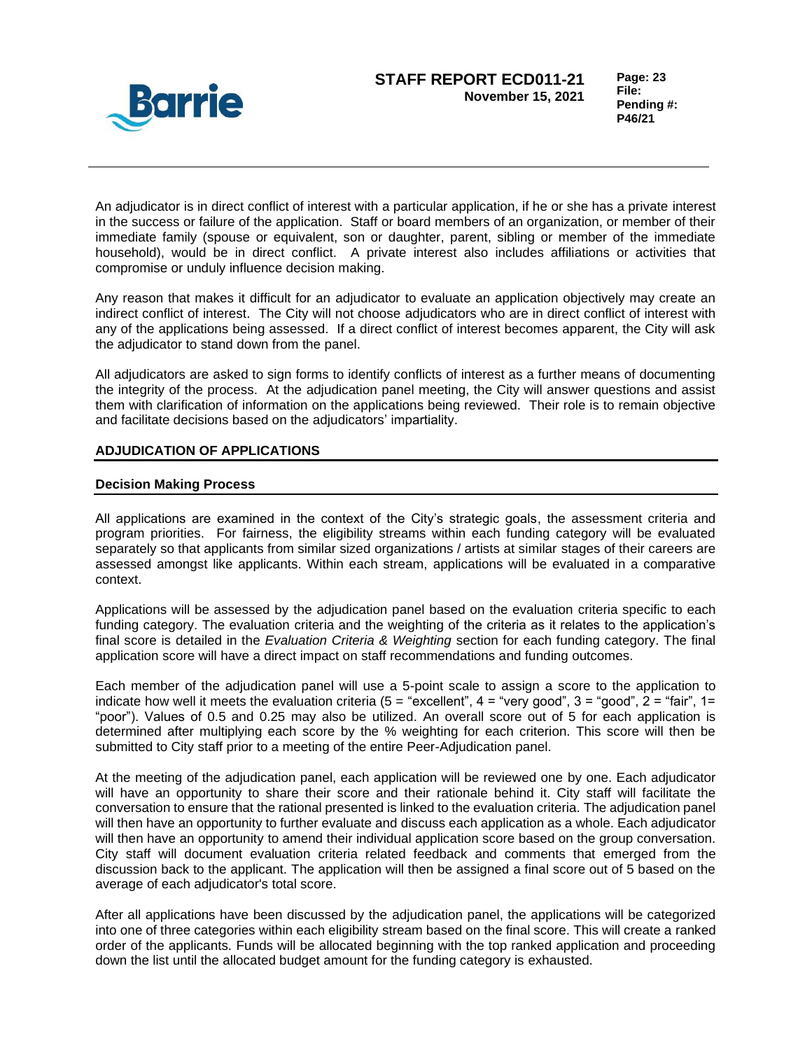

**Page: 23 File: Pending #: P46/21**

An adjudicator is in direct conflict of interest with a particular application, if he or she has a private interest in the success or failure of the application. Staff or board members of an organization, or member of their immediate family (spouse or equivalent, son or daughter, parent, sibling or member of the immediate household), would be in direct conflict. A private interest also includes affiliations or activities that compromise or unduly influence decision making.

Any reason that makes it difficult for an adjudicator to evaluate an application objectively may create an indirect conflict of interest. The City will not choose adjudicators who are in direct conflict of interest with any of the applications being assessed. If a direct conflict of interest becomes apparent, the City will ask the adjudicator to stand down from the panel.

All adjudicators are asked to sign forms to identify conflicts of interest as a further means of documenting the integrity of the process. At the adjudication panel meeting, the City will answer questions and assist them with clarification of information on the applications being reviewed. Their role is to remain objective and facilitate decisions based on the adjudicators' impartiality.

## **ADJUDICATION OF APPLICATIONS**

## **Decision Making Process**

All applications are examined in the context of the City's strategic goals, the assessment criteria and program priorities. For fairness, the eligibility streams within each funding category will be evaluated separately so that applicants from similar sized organizations / artists at similar stages of their careers are assessed amongst like applicants. Within each stream, applications will be evaluated in a comparative context.

Applications will be assessed by the adjudication panel based on the evaluation criteria specific to each funding category. The evaluation criteria and the weighting of the criteria as it relates to the application's final score is detailed in the *Evaluation Criteria & Weighting* section for each funding category. The final application score will have a direct impact on staff recommendations and funding outcomes.

Each member of the adjudication panel will use a 5-point scale to assign a score to the application to indicate how well it meets the evaluation criteria ( $5 =$  "excellent",  $4 =$  "very good",  $3 =$  "good",  $2 =$  "fair",  $1 =$ "poor"). Values of 0.5 and 0.25 may also be utilized. An overall score out of 5 for each application is determined after multiplying each score by the % weighting for each criterion. This score will then be submitted to City staff prior to a meeting of the entire Peer-Adjudication panel.

At the meeting of the adjudication panel, each application will be reviewed one by one. Each adjudicator will have an opportunity to share their score and their rationale behind it. City staff will facilitate the conversation to ensure that the rational presented is linked to the evaluation criteria. The adjudication panel will then have an opportunity to further evaluate and discuss each application as a whole. Each adjudicator will then have an opportunity to amend their individual application score based on the group conversation. City staff will document evaluation criteria related feedback and comments that emerged from the discussion back to the applicant. The application will then be assigned a final score out of 5 based on the average of each adjudicator's total score.

After all applications have been discussed by the adjudication panel, the applications will be categorized into one of three categories within each eligibility stream based on the final score. This will create a ranked order of the applicants. Funds will be allocated beginning with the top ranked application and proceeding down the list until the allocated budget amount for the funding category is exhausted.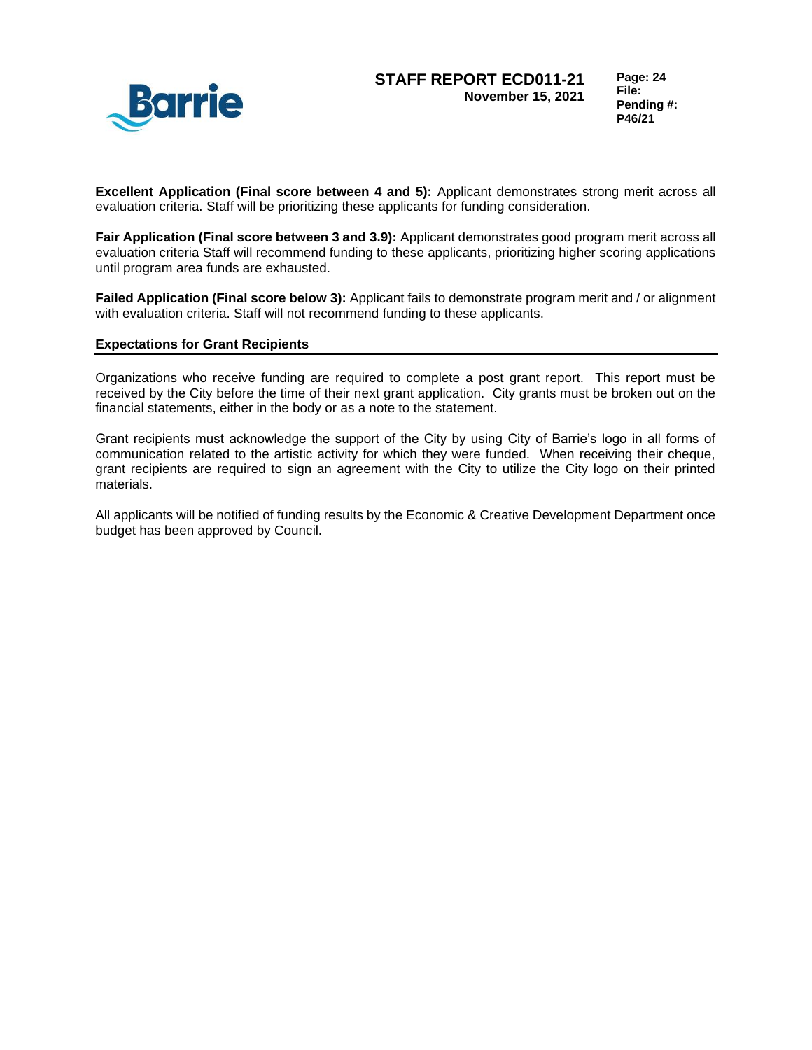

**Excellent Application (Final score between 4 and 5):** Applicant demonstrates strong merit across all evaluation criteria. Staff will be prioritizing these applicants for funding consideration.

**Fair Application (Final score between 3 and 3.9):** Applicant demonstrates good program merit across all evaluation criteria Staff will recommend funding to these applicants, prioritizing higher scoring applications until program area funds are exhausted.

**Failed Application (Final score below 3):** Applicant fails to demonstrate program merit and / or alignment with evaluation criteria. Staff will not recommend funding to these applicants.

### **Expectations for Grant Recipients**

Organizations who receive funding are required to complete a post grant report. This report must be received by the City before the time of their next grant application. City grants must be broken out on the financial statements, either in the body or as a note to the statement.

Grant recipients must acknowledge the support of the City by using City of Barrie's logo in all forms of communication related to the artistic activity for which they were funded. When receiving their cheque, grant recipients are required to sign an agreement with the City to utilize the City logo on their printed materials.

All applicants will be notified of funding results by the Economic & Creative Development Department once budget has been approved by Council.